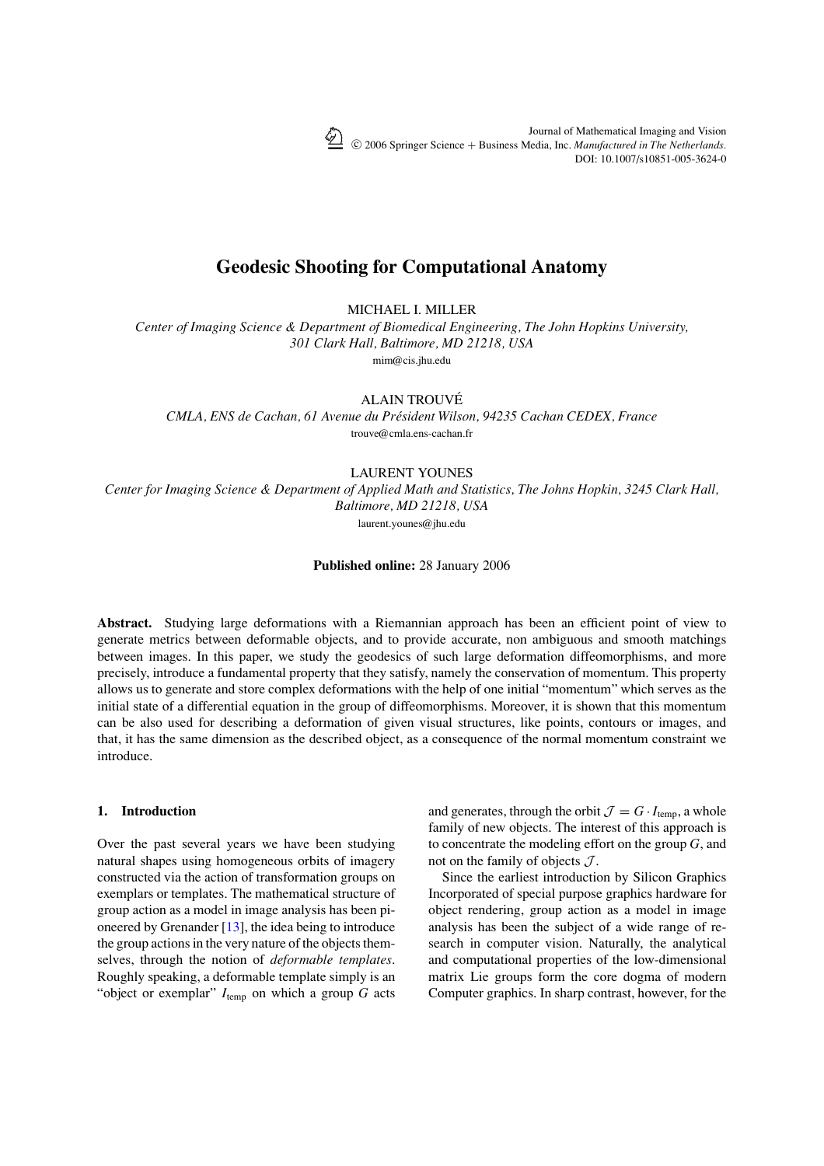Journal of Mathematical Imaging and Vision c 2006 Springer Science + Business Media, Inc. *Manufactured in The Netherlands.* DOI: 10.1007/s10851-005-3624-0

# **Geodesic Shooting for Computational Anatomy**

MICHAEL I. MILLER

*Center of Imaging Science & Department of Biomedical Engineering, The John Hopkins University, 301 Clark Hall, Baltimore, MD 21218, USA*

mim@cis.jhu.edu

ALAIN TROUVE´

*CMLA, ENS de Cachan, 61 Avenue du President Wilson, 94235 Cachan CEDEX, France ´* trouve@cmla.ens-cachan.fr

#### LAURENT YOUNES

*Center for Imaging Science & Department of Applied Math and Statistics, The Johns Hopkin, 3245 Clark Hall, Baltimore, MD 21218, USA*

laurent.younes@jhu.edu

### **Published online:** 28 January 2006

**Abstract.** Studying large deformations with a Riemannian approach has been an efficient point of view to generate metrics between deformable objects, and to provide accurate, non ambiguous and smooth matchings between images. In this paper, we study the geodesics of such large deformation diffeomorphisms, and more precisely, introduce a fundamental property that they satisfy, namely the conservation of momentum. This property allows us to generate and store complex deformations with the help of one initial "momentum" which serves as the initial state of a differential equation in the group of diffeomorphisms. Moreover, it is shown that this momentum can be also used for describing a deformation of given visual structures, like points, contours or images, and that, it has the same dimension as the described object, as a consequence of the normal momentum constraint we introduce.

# **1. Introduction**

Over the past several years we have been studying natural shapes using homogeneous orbits of imagery constructed via the action of transformation groups on exemplars or templates. The mathematical structure of group action as a model in image analysis has been pioneered by Grenander  $[13]$ , the idea being to introduce the group actions in the very nature of the objects themselves, through the notion of *deformable templates*. Roughly speaking, a deformable template simply is an "object or exemplar"  $I_{temp}$  on which a group  $G$  acts

and generates, through the orbit  $\mathcal{J} = G \cdot I_{\text{temp}}$ , a whole family of new objects. The interest of this approach is to concentrate the modeling effort on the group *G*, and not on the family of objects  $J$ .

Since the earliest introduction by Silicon Graphics Incorporated of special purpose graphics hardware for object rendering, group action as a model in image analysis has been the subject of a wide range of research in computer vision. Naturally, the analytical and computational properties of the low-dimensional matrix Lie groups form the core dogma of modern Computer graphics. In sharp contrast, however, for the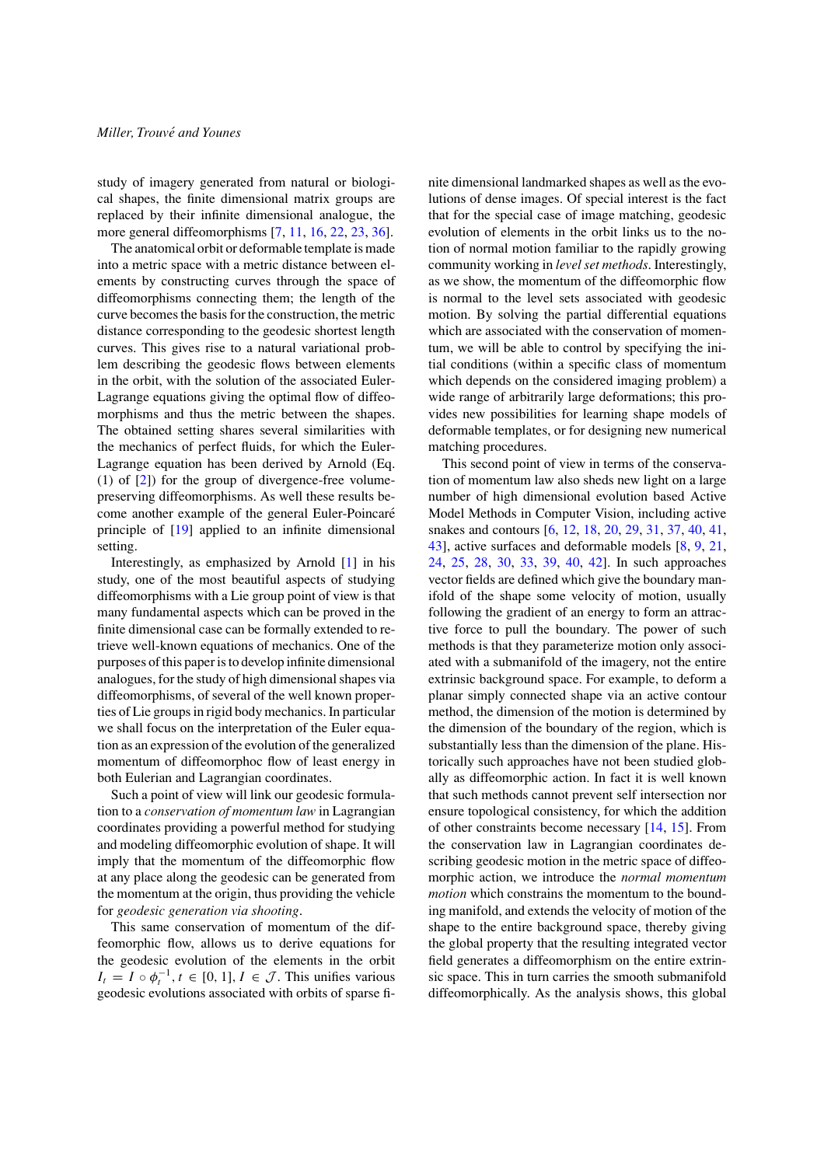study of imagery generated from natural or biological shapes, the finite dimensional matrix groups are replaced by their infinite dimensional analogue, the more general diffeomorphisms [\[7,](#page-19-1) [11,](#page-19-2) [16,](#page-19-3) [22,](#page-19-4) [23,](#page-19-5) [36\]](#page-19-6).

The anatomical orbit or deformable template is made into a metric space with a metric distance between elements by constructing curves through the space of diffeomorphisms connecting them; the length of the curve becomes the basis for the construction, the metric distance corresponding to the geodesic shortest length curves. This gives rise to a natural variational problem describing the geodesic flows between elements in the orbit, with the solution of the associated Euler-Lagrange equations giving the optimal flow of diffeomorphisms and thus the metric between the shapes. The obtained setting shares several similarities with the mechanics of perfect fluids, for which the Euler-Lagrange equation has been derived by Arnold (Eq. (1) of [\[2\]](#page-18-0)) for the group of divergence-free volumepreserving diffeomorphisms. As well these results become another example of the general Euler-Poincaré principle of [\[19\]](#page-19-7) applied to an infinite dimensional setting.

Interestingly, as emphasized by Arnold [\[1\]](#page-18-1) in his study, one of the most beautiful aspects of studying diffeomorphisms with a Lie group point of view is that many fundamental aspects which can be proved in the finite dimensional case can be formally extended to retrieve well-known equations of mechanics. One of the purposes of this paper is to develop infinite dimensional analogues, for the study of high dimensional shapes via diffeomorphisms, of several of the well known properties of Lie groups in rigid body mechanics. In particular we shall focus on the interpretation of the Euler equation as an expression of the evolution of the generalized momentum of diffeomorphoc flow of least energy in both Eulerian and Lagrangian coordinates.

Such a point of view will link our geodesic formulation to a *conservation of momentum law* in Lagrangian coordinates providing a powerful method for studying and modeling diffeomorphic evolution of shape. It will imply that the momentum of the diffeomorphic flow at any place along the geodesic can be generated from the momentum at the origin, thus providing the vehicle for *geodesic generation via shooting*.

This same conservation of momentum of the diffeomorphic flow, allows us to derive equations for the geodesic evolution of the elements in the orbit  $I_t = I \circ \phi_t^{-1}, t \in [0, 1], I \in \mathcal{J}$ . This unifies various geodesic evolutions associated with orbits of sparse finite dimensional landmarked shapes as well as the evolutions of dense images. Of special interest is the fact that for the special case of image matching, geodesic evolution of elements in the orbit links us to the notion of normal motion familiar to the rapidly growing community working in *level set methods*. Interestingly, as we show, the momentum of the diffeomorphic flow is normal to the level sets associated with geodesic motion. By solving the partial differential equations which are associated with the conservation of momentum, we will be able to control by specifying the initial conditions (within a specific class of momentum which depends on the considered imaging problem) a wide range of arbitrarily large deformations; this provides new possibilities for learning shape models of deformable templates, or for designing new numerical matching procedures.

This second point of view in terms of the conservation of momentum law also sheds new light on a large number of high dimensional evolution based Active Model Methods in Computer Vision, including active snakes and contours [\[6,](#page-18-2) [12,](#page-19-8) [18,](#page-19-9) [20,](#page-19-10) [29,](#page-19-11) [31,](#page-19-12) [37,](#page-19-13) [40,](#page-19-14) [41,](#page-19-15) [43\]](#page-19-16), active surfaces and deformable models [\[8,](#page-19-17) [9,](#page-19-18) [21,](#page-19-19) [24,](#page-19-20) [25,](#page-19-21) [28,](#page-19-22) [30,](#page-19-23) [33,](#page-19-24) [39,](#page-19-25) [40,](#page-19-14) [42\]](#page-19-26). In such approaches vector fields are defined which give the boundary manifold of the shape some velocity of motion, usually following the gradient of an energy to form an attractive force to pull the boundary. The power of such methods is that they parameterize motion only associated with a submanifold of the imagery, not the entire extrinsic background space. For example, to deform a planar simply connected shape via an active contour method, the dimension of the motion is determined by the dimension of the boundary of the region, which is substantially less than the dimension of the plane. Historically such approaches have not been studied globally as diffeomorphic action. In fact it is well known that such methods cannot prevent self intersection nor ensure topological consistency, for which the addition of other constraints become necessary [\[14,](#page-19-27) [15\]](#page-19-28). From the conservation law in Lagrangian coordinates describing geodesic motion in the metric space of diffeomorphic action, we introduce the *normal momentum motion* which constrains the momentum to the bounding manifold, and extends the velocity of motion of the shape to the entire background space, thereby giving the global property that the resulting integrated vector field generates a diffeomorphism on the entire extrinsic space. This in turn carries the smooth submanifold diffeomorphically. As the analysis shows, this global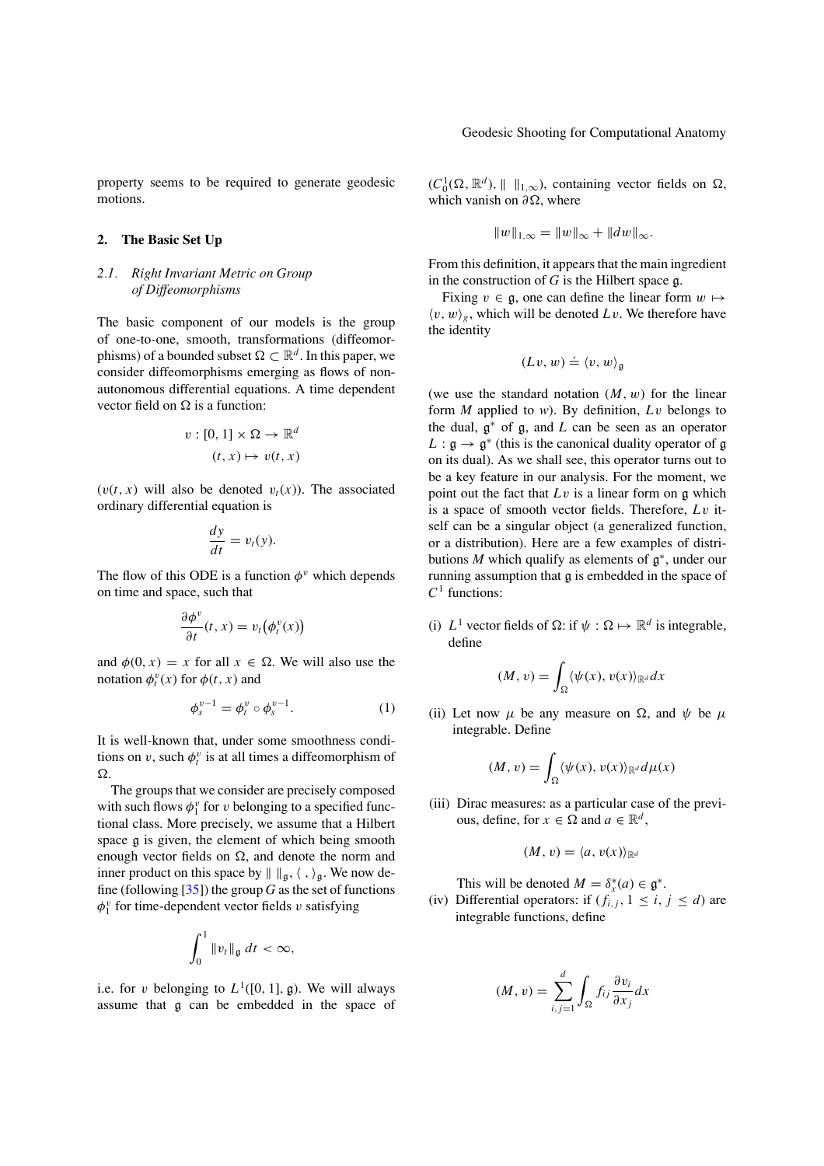property seems to be required to generate geodesic motions.

# **2. The Basic Set Up**

# <span id="page-2-2"></span>*2.1. Right Invariant Metric on Group of Diffeomorphisms*

The basic component of our models is the group of one-to-one, smooth, transformations (diffeomorphisms) of a bounded subset  $\Omega \subset \mathbb{R}^d$ . In this paper, we consider diffeomorphisms emerging as flows of nonautonomous differential equations. A time dependent vector field on  $\Omega$  is a function:

$$
v : [0, 1] \times \Omega \to \mathbb{R}^d
$$

$$
(t, x) \mapsto v(t, x)
$$

 $(v(t, x)$  will also be denoted  $v_t(x)$ ). The associated ordinary differential equation is

<span id="page-2-1"></span>
$$
\frac{dy}{dt} = v_t(y).
$$

The flow of this ODE is a function  $\phi^v$  which depends on time and space, such that

$$
\frac{\partial \phi^v}{\partial t}(t, x) = v_t(\phi^v_t(x))
$$

and  $\phi(0, x) = x$  for all  $x \in \Omega$ . We will also use the notation  $\phi_t^v(x)$  for  $\phi(t, x)$  and

<span id="page-2-0"></span>
$$
\phi_s^{v-1} = \phi_t^v \circ \phi_s^{v-1}.
$$
 (1)

It is well-known that, under some smoothness conditions on  $v$ , such  $\phi_t^v$  is at all times a diffeomorphism of  $\Omega.$ 

The groups that we consider are precisely composed with such flows  $\phi_1^v$  for v belonging to a specified functional class. More precisely, we assume that a Hilbert space g is given, the element of which being smooth enough vector fields on  $\Omega$ , and denote the norm and inner product on this space by  $\| \cdot \|_{\mathfrak{a}}$ ,  $\langle , \rangle_{\mathfrak{a}}$ . We now define (following  $[35]$ ) the group *G* as the set of functions  $\phi_1^v$  for time-dependent vector fields v satisfying

$$
\int_0^1 \|v_t\|_{\mathfrak g}\,dt < \infty,
$$

i.e. for v belonging to  $L^1([0, 1], \mathfrak{g})$ . We will always assume that g can be embedded in the space of  $(C_0^1(\Omega, \mathbb{R}^d), \| \|_{1,\infty})$ , containing vector fields on  $\Omega$ , which vanish on  $\partial\Omega$ , where

$$
||w||_{1,\infty} = ||w||_{\infty} + ||dw||_{\infty}.
$$

From this definition, it appears that the main ingredient in the construction of *G* is the Hilbert space g.

Fixing  $v \in \mathfrak{g}$ , one can define the linear form  $w \mapsto$  $\langle v, w \rangle_g$ , which will be denoted *Lv*. We therefore have the identity

$$
(Lv, w) \doteq \langle v, w \rangle_{\mathfrak{g}}
$$

(we use the standard notation  $(M, w)$  for the linear form *M* applied to *w*). By definition, *L*v belongs to the dual, g<sup>∗</sup> of g, and *L* can be seen as an operator  $L : \mathfrak{g} \to \mathfrak{g}^*$  (this is the canonical duality operator of  $\mathfrak{g}$ on its dual). As we shall see, this operator turns out to be a key feature in our analysis. For the moment, we point out the fact that *L*v is a linear form on g which is a space of smooth vector fields. Therefore, *L*v itself can be a singular object (a generalized function, or a distribution). Here are a few examples of distributions *M* which qualify as elements of g<sup>∗</sup>, under our running assumption that g is embedded in the space of *C*<sup>1</sup> functions:

(i)  $L^1$  vector fields of  $\Omega$ : if  $\psi : \Omega \mapsto \mathbb{R}^d$  is integrable, define

$$
(M, v) = \int_{\Omega} \langle \psi(x), v(x) \rangle_{\mathbb{R}^d} dx
$$

(ii) Let now  $\mu$  be any measure on  $\Omega$ , and  $\psi$  be  $\mu$ integrable. Define

$$
(M, v) = \int_{\Omega} \langle \psi(x), v(x) \rangle_{\mathbb{R}^d} d\mu(x)
$$

(iii) Dirac measures: as a particular case of the previous, define, for  $x \in \Omega$  and  $a \in \mathbb{R}^d$ ,

$$
(M, v) = \langle a, v(x) \rangle_{\mathbb{R}^d}
$$

This will be denoted  $M = \delta_x^*(a) \in \mathfrak{g}^*$ .

(iv) Differential operators: if  $(f_{i,j}, 1 \leq i, j \leq d)$  are integrable functions, define

$$
(M, v) = \sum_{i,j=1}^{d} \int_{\Omega} f_{ij} \frac{\partial v_i}{\partial x_j} dx
$$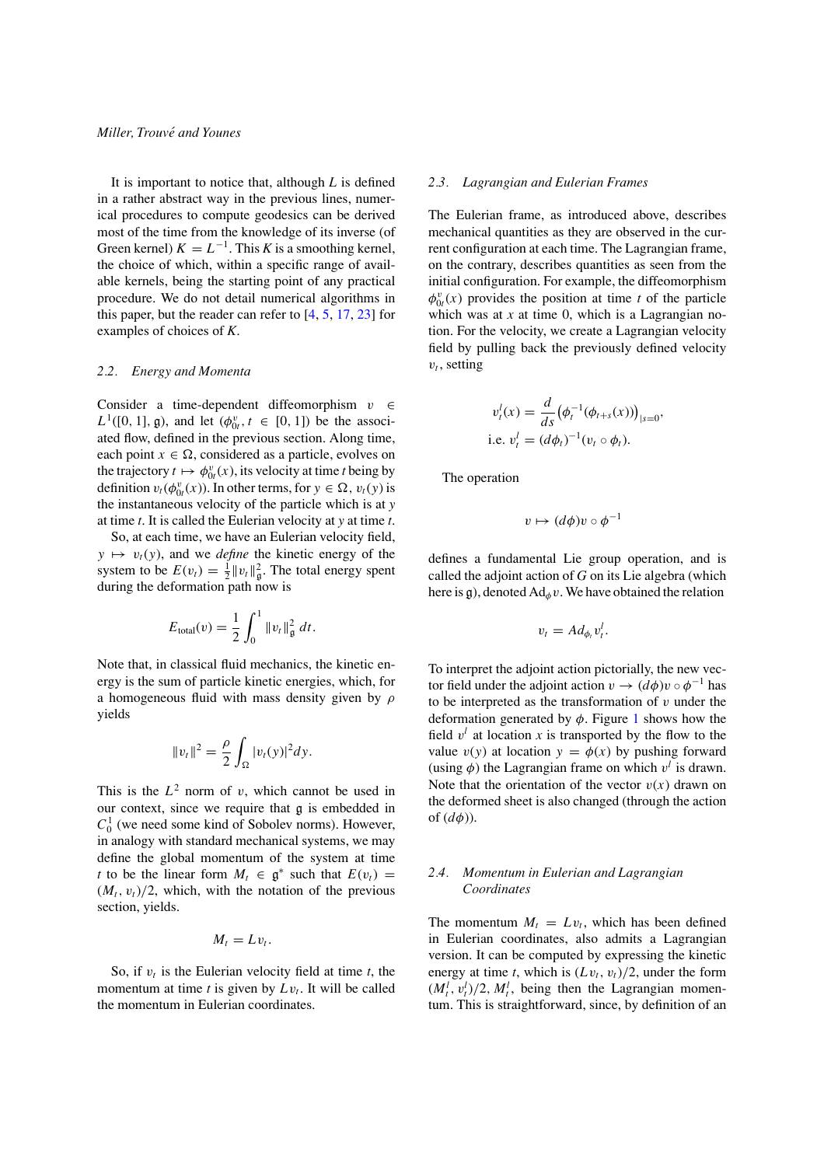It is important to notice that, although *L* is defined in a rather abstract way in the previous lines, numerical procedures to compute geodesics can be derived most of the time from the knowledge of its inverse (of Green kernel)  $K = L^{-1}$ . This *K* is a smoothing kernel, the choice of which, within a specific range of available kernels, being the starting point of any practical procedure. We do not detail numerical algorithms in this paper, but the reader can refer to [\[4,](#page-18-3) [5,](#page-18-4) [17,](#page-19-30) [23\]](#page-19-5) for examples of choices of *K*.

#### *2.2. Energy and Momenta*

Consider a time-dependent diffeomorphism  $v \in$  $L^1([0, 1], \mathfrak{g})$ , and let  $(\phi_0^v, t \in [0, 1])$  be the associated flow, defined in the previous section. Along time, each point  $x \in \Omega$ , considered as a particle, evolves on the trajectory  $t \mapsto \phi_{0t}^v(x)$ , its velocity at time *t* being by definition  $v_t(\phi_{0t}^v(x))$ . In other terms, for  $y \in \Omega$ ,  $v_t(y)$  is the instantaneous velocity of the particle which is at *y* at time *t*. It is called the Eulerian velocity at *y* at time *t*.

So, at each time, we have an Eulerian velocity field,  $y \mapsto v_t(y)$ , and we *define* the kinetic energy of the system to be  $E(v_t) = \frac{1}{2} ||v_t||_g^2$ . The total energy spent during the deformation path now is

$$
E_{\text{total}}(v) = \frac{1}{2} \int_0^1 \|v_t\|_{\mathfrak{g}}^2 dt.
$$

Note that, in classical fluid mechanics, the kinetic energy is the sum of particle kinetic energies, which, for a homogeneous fluid with mass density given by  $\rho$ yields

$$
||v_t||^2 = \frac{\rho}{2} \int_{\Omega} |v_t(y)|^2 dy.
$$

This is the  $L^2$  norm of v, which cannot be used in our context, since we require that g is embedded in  $C_0^1$  (we need some kind of Sobolev norms). However, in analogy with standard mechanical systems, we may define the global momentum of the system at time *t* to be the linear form  $M_t \in \mathfrak{g}^*$  such that  $E(v_t)$  =  $(M_t, v_t)/2$ , which, with the notation of the previous section, yields.

$$
M_t = L v_t.
$$

So, if  $v_t$  is the Eulerian velocity field at time  $t$ , the momentum at time *t* is given by  $Lv_t$ . It will be called the momentum in Eulerian coordinates.

#### *2.3. Lagrangian and Eulerian Frames*

The Eulerian frame, as introduced above, describes mechanical quantities as they are observed in the current configuration at each time. The Lagrangian frame, on the contrary, describes quantities as seen from the initial configuration. For example, the diffeomorphism  $\phi_{0t}^v(x)$  provides the position at time *t* of the particle which was at  $x$  at time 0, which is a Lagrangian notion. For the velocity, we create a Lagrangian velocity field by pulling back the previously defined velocity  $v_t$ , setting

$$
v_t^l(x) = \frac{d}{ds} (\phi_t^{-1}(\phi_{t+s}(x)))_{|s=0},
$$
  
i.e.  $v_t^l = (d\phi_t)^{-1}(v_t \circ \phi_t).$ 

The operation

$$
v \mapsto (d\phi)v \circ \phi^{-1}
$$

defines a fundamental Lie group operation, and is called the adjoint action of *G* on its Lie algebra (which here is g), denoted  $Ad_{\phi}v$ . We have obtained the relation

$$
v_t = Ad_{\phi_t} v_t^l.
$$

To interpret the adjoint action pictorially, the new vector field under the adjoint action  $v \rightarrow (d\phi)v \circ \phi^{-1}$  has to be interpreted as the transformation of  $v$  under the deformation generated by  $\phi$ . Figure [1](#page-4-0) shows how the field  $v^l$  at location x is transported by the flow to the value  $v(y)$  at location  $y = \phi(x)$  by pushing forward (using  $\phi$ ) the Lagrangian frame on which  $v^l$  is drawn. Note that the orientation of the vector  $v(x)$  drawn on the deformed sheet is also changed (through the action of  $(d\phi)$ ).

# *2.4. Momentum in Eulerian and Lagrangian Coordinates*

The momentum  $M_t = Lv_t$ , which has been defined in Eulerian coordinates, also admits a Lagrangian version. It can be computed by expressing the kinetic energy at time *t*, which is  $(Lv_t, v_t)/2$ , under the form  $(M_t^l, v_t^l)/2$ ,  $M_t^l$ , being then the Lagrangian momentum. This is straightforward, since, by definition of an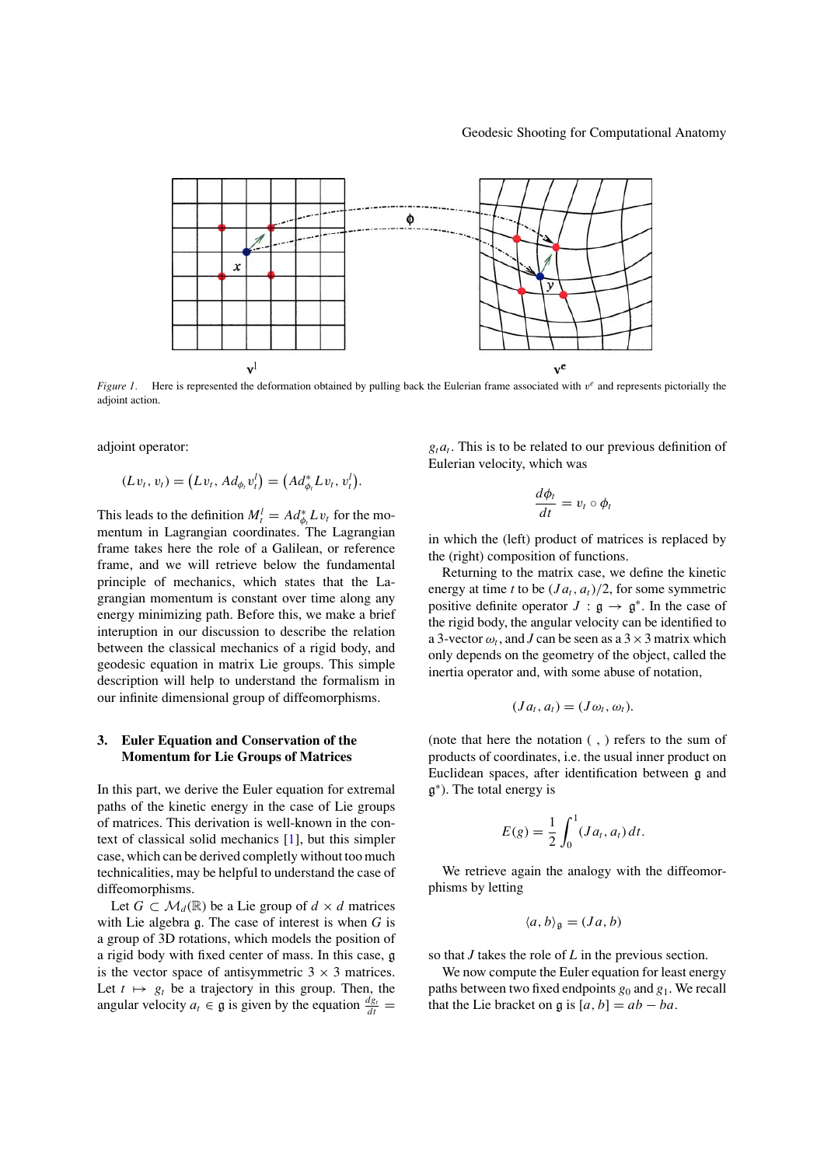<span id="page-4-0"></span>

*Figure 1.* Here is represented the deformation obtained by pulling back the Eulerian frame associated with  $v^e$  and represents pictorially the adjoint action.

adjoint operator:

$$
(Lv_t, v_t) = (Lv_t, Ad_{\phi_t} v_t^l) = (Ad_{\phi_t}^* Lv_t, v_t^l).
$$

This leads to the definition  $M_t^l = Ad_{\phi_t}^* L v_t$  for the momentum in Lagrangian coordinates. The Lagrangian frame takes here the role of a Galilean, or reference frame, and we will retrieve below the fundamental principle of mechanics, which states that the Lagrangian momentum is constant over time along any energy minimizing path. Before this, we make a brief interuption in our discussion to describe the relation between the classical mechanics of a rigid body, and geodesic equation in matrix Lie groups. This simple description will help to understand the formalism in our infinite dimensional group of diffeomorphisms.

# **3. Euler Equation and Conservation of the Momentum for Lie Groups of Matrices**

In this part, we derive the Euler equation for extremal paths of the kinetic energy in the case of Lie groups of matrices. This derivation is well-known in the context of classical solid mechanics [\[1\]](#page-18-1), but this simpler case, which can be derived completly without too much technicalities, may be helpful to understand the case of diffeomorphisms.

Let *G* ⊂  $\mathcal{M}_d$  (ℝ) be a Lie group of *d* × *d* matrices with Lie algebra g. The case of interest is when *G* is a group of 3D rotations, which models the position of a rigid body with fixed center of mass. In this case, g is the vector space of antisymmetric  $3 \times 3$  matrices. Let  $t \mapsto g_t$  be a trajectory in this group. Then, the angular velocity  $a_t \in \mathfrak{g}$  is given by the equation  $\frac{dg_t}{dt}$ 

 $g_t a_t$ . This is to be related to our previous definition of Eulerian velocity, which was

$$
\frac{d\phi_t}{dt}=v_t\circ\phi_t
$$

in which the (left) product of matrices is replaced by the (right) composition of functions.

Returning to the matrix case, we define the kinetic energy at time *t* to be  $(Ja_t, a_t)/2$ , for some symmetric positive definite operator  $J : \mathfrak{g} \to \mathfrak{g}^*$ . In the case of the rigid body, the angular velocity can be identified to a 3-vector  $\omega_t$ , and *J* can be seen as a 3  $\times$  3 matrix which only depends on the geometry of the object, called the inertia operator and, with some abuse of notation,

$$
(Ja_t,a_t)=(J\omega_t,\omega_t).
$$

(note that here the notation ( , ) refers to the sum of products of coordinates, i.e. the usual inner product on Euclidean spaces, after identification between g and g<sup>∗</sup>). The total energy is

$$
E(g) = \frac{1}{2} \int_0^1 (Ja_t, a_t) dt.
$$

We retrieve again the analogy with the diffeomorphisms by letting

$$
\langle a, b \rangle_{\mathfrak{g}} = (Ja, b)
$$

so that *J* takes the role of *L* in the previous section.

We now compute the Euler equation for least energy paths between two fixed endpoints  $g_0$  and  $g_1$ . We recall that the Lie bracket on g is  $[a, b] = ab - ba$ .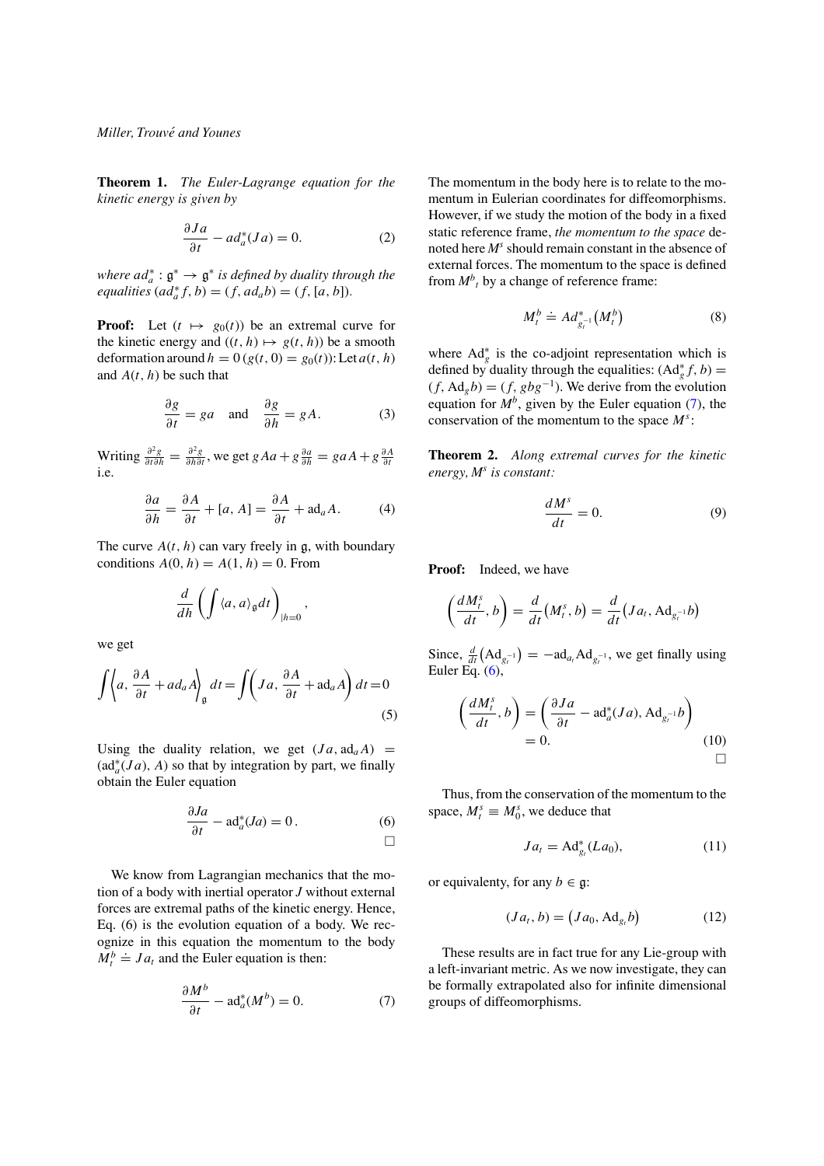**Theorem 1.** *The Euler-Lagrange equation for the kinetic energy is given by*

<span id="page-5-2"></span>
$$
\frac{\partial Ja}{\partial t} - ad^*_a(Ja) = 0.
$$
 (2)

*where ad*<sup>∗</sup> *<sup>a</sup>* : g<sup>∗</sup> → g<sup>∗</sup> *is defined by duality through the equalities*  $(ad<sub>a</sub><sup>*</sup> f, b) = (f, ad<sub>a</sub>b) = (f, [a, b]).$ 

**Proof:** Let  $(t \mapsto g_0(t))$  be an extremal curve for the kinetic energy and  $((t, h) \mapsto g(t, h))$  be a smooth deformation around  $h = 0$  ( $g(t, 0) = g_0(t)$ ): Let  $a(t, h)$ and  $A(t, h)$  be such that

$$
\frac{\partial g}{\partial t} = ga \quad \text{and} \quad \frac{\partial g}{\partial h} = gA. \tag{3}
$$

Writing  $\frac{\partial^2 g}{\partial t \partial h} = \frac{\partial^2 g}{\partial h \partial t}$ , we get  $g A a + g \frac{\partial a}{\partial h} = g a A + g \frac{\partial A}{\partial t}$ i.e.

$$
\frac{\partial a}{\partial h} = \frac{\partial A}{\partial t} + [a, A] = \frac{\partial A}{\partial t} + \text{ad}_a A. \tag{4}
$$

,

The curve  $A(t, h)$  can vary freely in g, with boundary conditions  $A(0, h) = A(1, h) = 0$ . From

$$
\frac{d}{dh}\left(\int \langle a,a\rangle_{\mathfrak{g}}dt\right)_{|h=0}
$$

we get

$$
\int \left\langle a, \frac{\partial A}{\partial t} + ad_a A \right\rangle_{\mathfrak{g}} dt = \int \left( Ja, \frac{\partial A}{\partial t} + ad_a A \right) dt = 0
$$
\n(5)

Using the duality relation, we get  $(Ja, ad_a A)$  =  $(ad<sub>a</sub><sup>*</sup>(Ja), A)$  so that by integration by part, we finally obtain the Euler equation

<span id="page-5-1"></span>
$$
\frac{\partial Ja}{\partial t} - \mathrm{ad}_a^*(Ja) = 0. \tag{6}
$$

We know from Lagrangian mechanics that the motion of a body with inertial operator *J* without external forces are extremal paths of the kinetic energy. Hence, Eq. (6) is the evolution equation of a body. We recognize in this equation the momentum to the body  $M_t^b \doteq J a_t$  and the Euler equation is then:

<span id="page-5-0"></span>
$$
\frac{\partial M^b}{\partial t} - \mathrm{ad}_a^*(M^b) = 0. \tag{7}
$$

The momentum in the body here is to relate to the momentum in Eulerian coordinates for diffeomorphisms. However, if we study the motion of the body in a fixed static reference frame, *the momentum to the space* denoted here *Ms* should remain constant in the absence of external forces. The momentum to the space is defined from  $M^b{}_t$  by a change of reference frame:

$$
M_t^b \doteq Ad_{g_t^{-1}}^*(M_t^b)
$$
 (8)

where  $Ad^*_{g}$  is the co-adjoint representation which is defined by duality through the equalities:  $(Ad_g^* f, b)$  =  $(f, \text{Ad}_g b) = (f, g b g^{-1})$ . We derive from the evolution equation for  $M^b$ , given by the Euler equation [\(7\)](#page-5-0), the conservation of the momentum to the space *M<sup>s</sup>*:

**Theorem 2.** *Along extremal curves for the kinetic energy, Ms is constant:*

$$
\frac{dM^s}{dt} = 0.\t\t(9)
$$

**Proof:** Indeed, we have

$$
\left(\frac{dM_t^s}{dt},b\right) = \frac{d}{dt}\left(M_t^s,b\right) = \frac{d}{dt}\left(Ja_t,\text{Ad}_{g_t^{-1}}b\right)
$$

Since,  $\frac{d}{dt}(\text{Ad}_{g_t^{-1}}) = -\text{ad}_{a_t} \text{Ad}_{g_t^{-1}}$ , we get finally using Euler Eq.  $(6)$ ,

$$
\left(\frac{dM_t^s}{dt}, b\right) = \left(\frac{\partial Ja}{\partial t} - \mathrm{ad}_a^*(Ja), \mathrm{Ad}_{g_t^{-1}}b\right)
$$
  
= 0. (10)

Thus, from the conservation of the momentum to the space,  $M_t^s \equiv M_0^s$ , we deduce that

$$
Ja_t = \mathrm{Ad}^*_{g_t}(La_0),\tag{11}
$$

or equivalenty, for any  $b \in \mathfrak{g}$ :

$$
(Ja_t, b) = (Ja_0, \mathrm{Ad}_{g_t}b) \tag{12}
$$

These results are in fact true for any Lie-group with a left-invariant metric. As we now investigate, they can be formally extrapolated also for infinite dimensional groups of diffeomorphisms.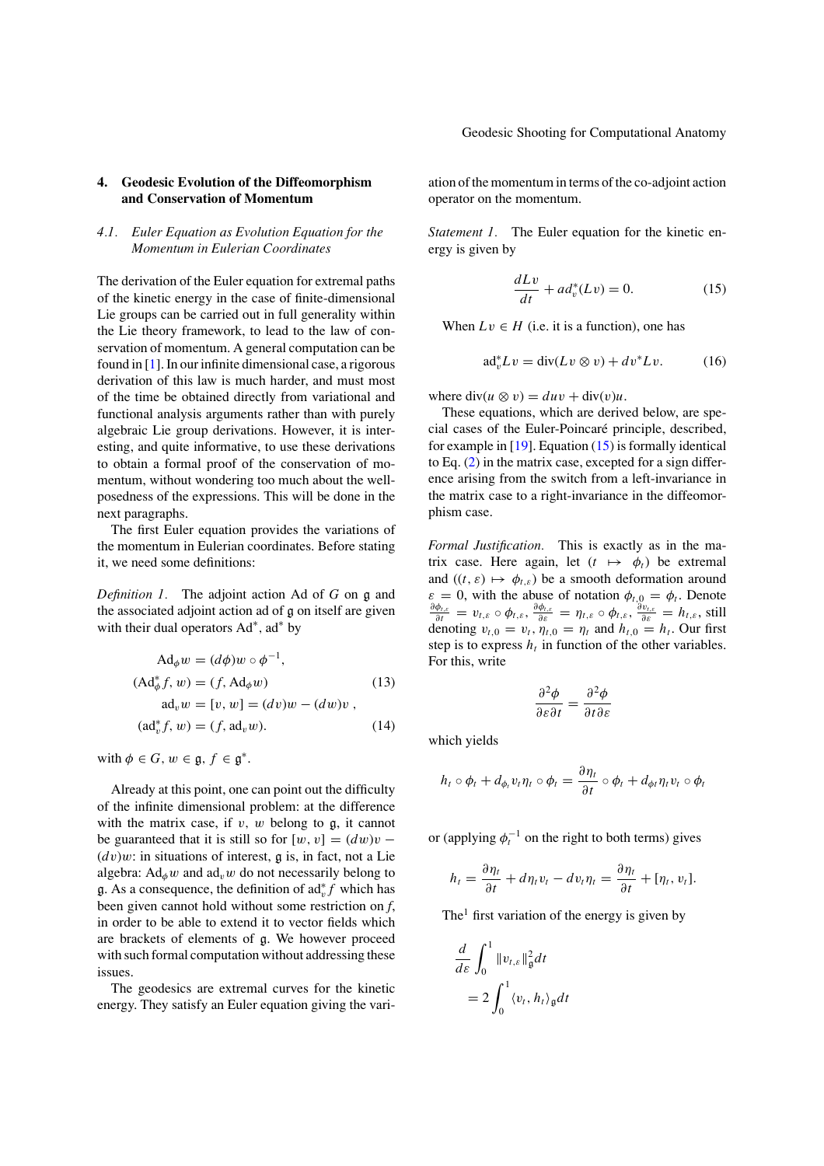# **4. Geodesic Evolution of the Diffeomorphism and Conservation of Momentum**

# *4.1. Euler Equation as Evolution Equation for the Momentum in Eulerian Coordinates*

The derivation of the Euler equation for extremal paths of the kinetic energy in the case of finite-dimensional Lie groups can be carried out in full generality within the Lie theory framework, to lead to the law of conservation of momentum. A general computation can be found in [\[1\]](#page-18-1). In our infinite dimensional case, a rigorous derivation of this law is much harder, and must most of the time be obtained directly from variational and functional analysis arguments rather than with purely algebraic Lie group derivations. However, it is interesting, and quite informative, to use these derivations to obtain a formal proof of the conservation of momentum, without wondering too much about the wellposedness of the expressions. This will be done in the next paragraphs.

The first Euler equation provides the variations of the momentum in Eulerian coordinates. Before stating it, we need some definitions:

*Definition 1.* The adjoint action Ad of *G* on g and the associated adjoint action ad of g on itself are given with their dual operators Ad<sup>∗</sup>, ad<sup>∗</sup> by

$$
\text{Ad}_{\phi} w = (d\phi)w \circ \phi^{-1},
$$
\n
$$
(\text{Ad}_{\phi}^* f, w) = (f, \text{Ad}_{\phi} w) \tag{13}
$$
\n
$$
\text{ad}_v w = [v, w] = (dv)w - (dw)v,
$$
\n
$$
(\text{ad}_v^* f, w) = (f, \text{ad}_v w). \tag{14}
$$

with  $\phi \in G$ ,  $w \in \mathfrak{g}$ ,  $f \in \mathfrak{g}^*$ .

Already at this point, one can point out the difficulty of the infinite dimensional problem: at the difference with the matrix case, if  $v, w$  belong to  $\mathfrak{g}$ , it cannot be guaranteed that it is still so for  $[w, v] = (dw)v$  −  $(dv)w$ : in situations of interest,  $\mathfrak g$  is, in fact, not a Lie algebra:  $\text{Ad}_{\phi} w$  and  $\text{ad}_{\psi} w$  do not necessarily belong to g. As a consequence, the definition of  $\text{ad}_{v}^{*} f$  which has been given cannot hold without some restriction on *f*, in order to be able to extend it to vector fields which are brackets of elements of g. We however proceed with such formal computation without addressing these issues.

The geodesics are extremal curves for the kinetic energy. They satisfy an Euler equation giving the variation of the momentum in terms of the co-adjoint action operator on the momentum.

*Statement 1.* The Euler equation for the kinetic energy is given by

<span id="page-6-1"></span><span id="page-6-0"></span>
$$
\frac{dLv}{dt} + ad_v^*(Lv) = 0.
$$
 (15)

When  $Lv \in H$  (i.e. it is a function), one has

$$
ad_v^*Lv = \text{div}(Lv \otimes v) + dv^*Lv. \tag{16}
$$

where  $div(u \otimes v) = du v + div(v)u$ .

These equations, which are derived below, are special cases of the Euler-Poincaré principle, described, for example in  $[19]$ . Equation  $(15)$  is formally identical to Eq.  $(2)$  in the matrix case, excepted for a sign difference arising from the switch from a left-invariance in the matrix case to a right-invariance in the diffeomorphism case.

*Formal Justification.* This is exactly as in the matrix case. Here again, let  $(t \mapsto \phi_t)$  be extremal and  $((t, \varepsilon) \mapsto \phi_{t, \varepsilon})$  be a smooth deformation around  $\varepsilon = 0$ , with the abuse of notation  $\phi_{t,0} = \phi_t$ . Denote  $\frac{\partial \phi_{t,\varepsilon}}{\partial t} = v_{t,\varepsilon} \circ \phi_{t,\varepsilon}, \frac{\partial \phi_{t,\varepsilon}}{\partial \varepsilon} = \eta_{t,\varepsilon} \circ \phi_{t,\varepsilon}, \frac{\partial v_{t,\varepsilon}}{\partial \varepsilon} = h_{t,\varepsilon}, \text{still}$ denoting  $v_{t,0} = v_t$ ,  $\eta_{t,0} = \eta_t$  and  $h_{t,0} = h_t$ . Our first step is to express  $h_t$  in function of the other variables. For this, write

$$
\frac{\partial^2 \phi}{\partial \varepsilon \partial t} = \frac{\partial^2 \phi}{\partial t \partial \varepsilon}
$$

which yields

$$
h_t \circ \phi_t + d_{\phi_t} v_t \eta_t \circ \phi_t = \frac{\partial \eta_t}{\partial t} \circ \phi_t + d_{\phi_t} \eta_t v_t \circ \phi_t
$$

or (applying  $\phi_t^{-1}$  on the right to both terms) gives

$$
h_t = \frac{\partial \eta_t}{\partial t} + d\eta_t v_t - dv_t \eta_t = \frac{\partial \eta_t}{\partial t} + [\eta_t, v_t].
$$

The<sup>1</sup> first variation of the energy is given by

$$
\frac{d}{d\varepsilon} \int_0^1 \|v_{t,\varepsilon}\|_{\mathfrak{g}}^2 dt
$$

$$
= 2 \int_0^1 \langle v_t, h_t \rangle_{\mathfrak{g}} dt
$$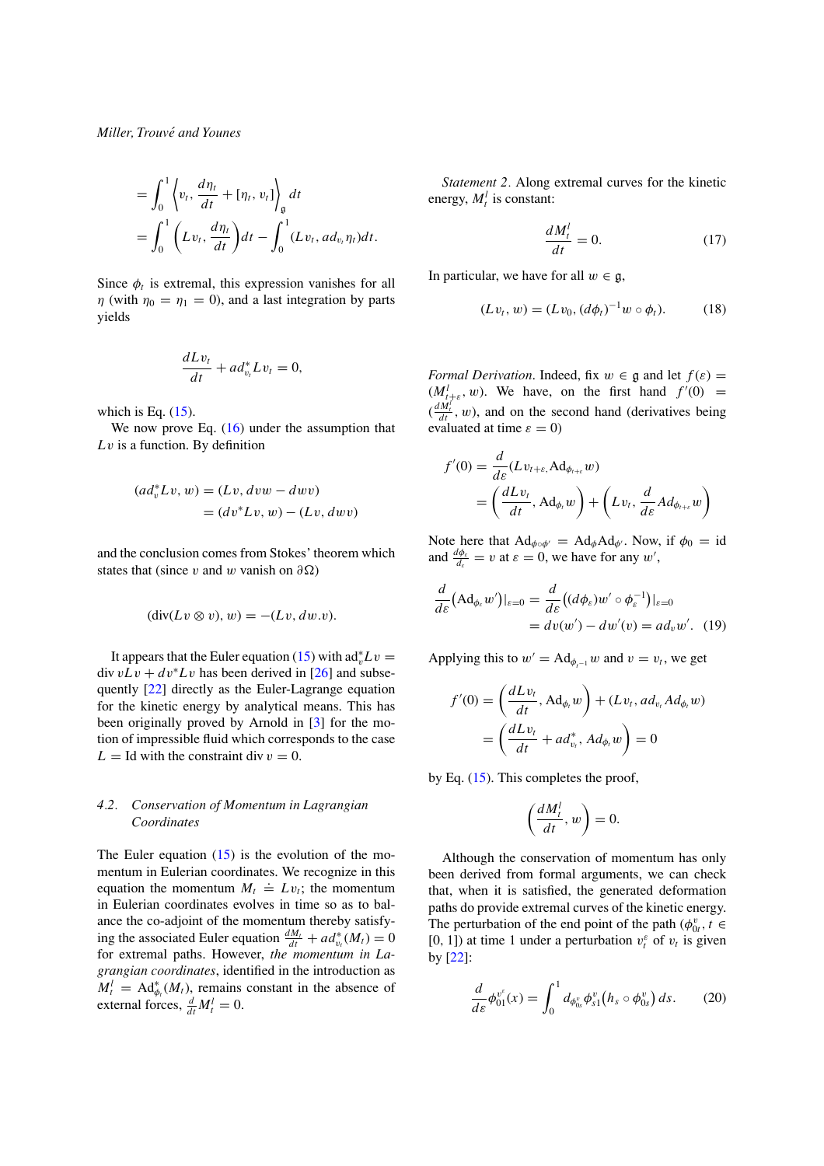$$
= \int_0^1 \left\langle v_t, \frac{d\eta_t}{dt} + [\eta_t, v_t] \right\rangle_{\mathfrak{g}} dt
$$
  
= 
$$
\int_0^1 \left( L v_t, \frac{d\eta_t}{dt} \right) dt - \int_0^1 (L v_t, a d_{v_t} \eta_t) dt.
$$

Since  $\phi_t$  is extremal, this expression vanishes for all  $\eta$  (with  $\eta_0 = \eta_1 = 0$ ), and a last integration by parts yields

$$
\frac{dLv_t}{dt} + ad_{v_t}^*Lv_t = 0,
$$

which is Eq.  $(15)$ .

We now prove Eq.  $(16)$  under the assumption that *L*v is a function. By definition

$$
(ad_v^*Lv, w) = (Lv, dvw - dwv)
$$
  

$$
= (dv^*Lv, w) - (Lv, dwv)
$$

and the conclusion comes from Stokes' theorem which states that (since v and w vanish on  $\partial \Omega$ )

$$
(\operatorname{div}(Lv\otimes v), w) = -(Lv, dw.v).
$$

It appears that the Euler equation [\(15\)](#page-6-0) with  $ad_v^*Lv =$ div  $vLv + dv*Lv$  has been derived in [\[26\]](#page-19-31) and subsequently [\[22\]](#page-19-4) directly as the Euler-Lagrange equation for the kinetic energy by analytical means. This has been originally proved by Arnold in [\[3\]](#page-18-5) for the motion of impressible fluid which corresponds to the case  $L =$  Id with the constraint div  $v = 0$ .

### *4.2. Conservation of Momentum in Lagrangian Coordinates*

The Euler equation  $(15)$  is the evolution of the momentum in Eulerian coordinates. We recognize in this equation the momentum  $M_t \doteq L v_t$ ; the momentum in Eulerian coordinates evolves in time so as to balance the co-adjoint of the momentum thereby satisfying the associated Euler equation  $\frac{dM_t}{dt} + ad_{v_t}^*(M_t) = 0$ for extremal paths. However, *the momentum in Lagrangian coordinates*, identified in the introduction as  $M_t^l = \text{Ad}_{\phi_t}^*(M_t)$ , remains constant in the absence of external forces,  $\frac{d}{dt}M_t^l = 0$ .

*Statement 2.* Along extremal curves for the kinetic energy,  $M_t^l$  is constant:

<span id="page-7-1"></span>
$$
\frac{dM_t^l}{dt} = 0.\t(17)
$$

In particular, we have for all  $w \in \mathfrak{g}$ ,

$$
(Lv_t, w) = (Lv_0, (d\phi_t)^{-1}w \circ \phi_t). \tag{18}
$$

*Formal Derivation*. Indeed, fix  $w \in \mathfrak{g}$  and let  $f(\varepsilon) =$  $(M_{t+\varepsilon}^l, w)$ . We have, on the first hand  $f'(0) =$  $\left(\frac{dM_t^{i'}}{dt}, w\right)$ , and on the second hand (derivatives being evaluated at time  $\varepsilon = 0$ )

$$
f'(0) = \frac{d}{d\varepsilon}(Lv_{t+\varepsilon,\mathrm{Ad}_{\phi_{t+\varepsilon}}w)
$$
  
=  $\left(\frac{dLv_t}{dt}, \mathrm{Ad}_{\phi_t}w\right) + \left(Lv_t, \frac{d}{d\varepsilon}Ad_{\phi_{t+\varepsilon}}w\right)$ 

Note here that  $Ad_{\phi \circ \phi'} = Ad_{\phi} Ad_{\phi'}$ . Now, if  $\phi_0 = id$ and  $\frac{d\phi_{\varepsilon}}{d_{\varepsilon}} = v$  at  $\varepsilon = 0$ , we have for any  $w'$ ,

$$
\frac{d}{d\varepsilon} \left( \mathrm{Ad}_{\phi_{\varepsilon}} w' \right) \vert_{\varepsilon=0} = \frac{d}{d\varepsilon} \left( (d\phi_{\varepsilon}) w' \circ \phi_{\varepsilon}^{-1} \right) \vert_{\varepsilon=0}
$$
\n
$$
= dv(w') - dw'(v) = ad_{v} w'. \quad (19)
$$

Applying this to  $w' = \text{Ad}_{\phi_{n-1}} w$  and  $v = v_t$ , we get

<span id="page-7-2"></span>
$$
f'(0) = \left(\frac{dLv_t}{dt}, \mathrm{Ad}_{\phi_t}w\right) + (Lv_t, ad_{v_t}Ad_{\phi_t}w)
$$

$$
= \left(\frac{dLv_t}{dt} + ad_{v_t}^*, Ad_{\phi_t}w\right) = 0
$$

by Eq. [\(15\)](#page-6-0). This completes the proof,

$$
\left(\frac{dM_t^l}{dt}, w\right) = 0.
$$

Although the conservation of momentum has only been derived from formal arguments, we can check that, when it is satisfied, the generated deformation paths do provide extremal curves of the kinetic energy. The perturbation of the end point of the path ( $\phi_{0t}^v$ ,  $t \in$ [0, 1]) at time 1 under a perturbation  $v_t^{\varepsilon}$  of  $v_t$  is given by [\[22\]](#page-19-4):

<span id="page-7-0"></span>
$$
\frac{d}{d\varepsilon}\phi_{01}^{v^{\varepsilon}}(x) = \int_0^1 d_{\phi_{0s}^v}\phi_{s1}^v(h_s \circ \phi_{0s}^v) ds. \tag{20}
$$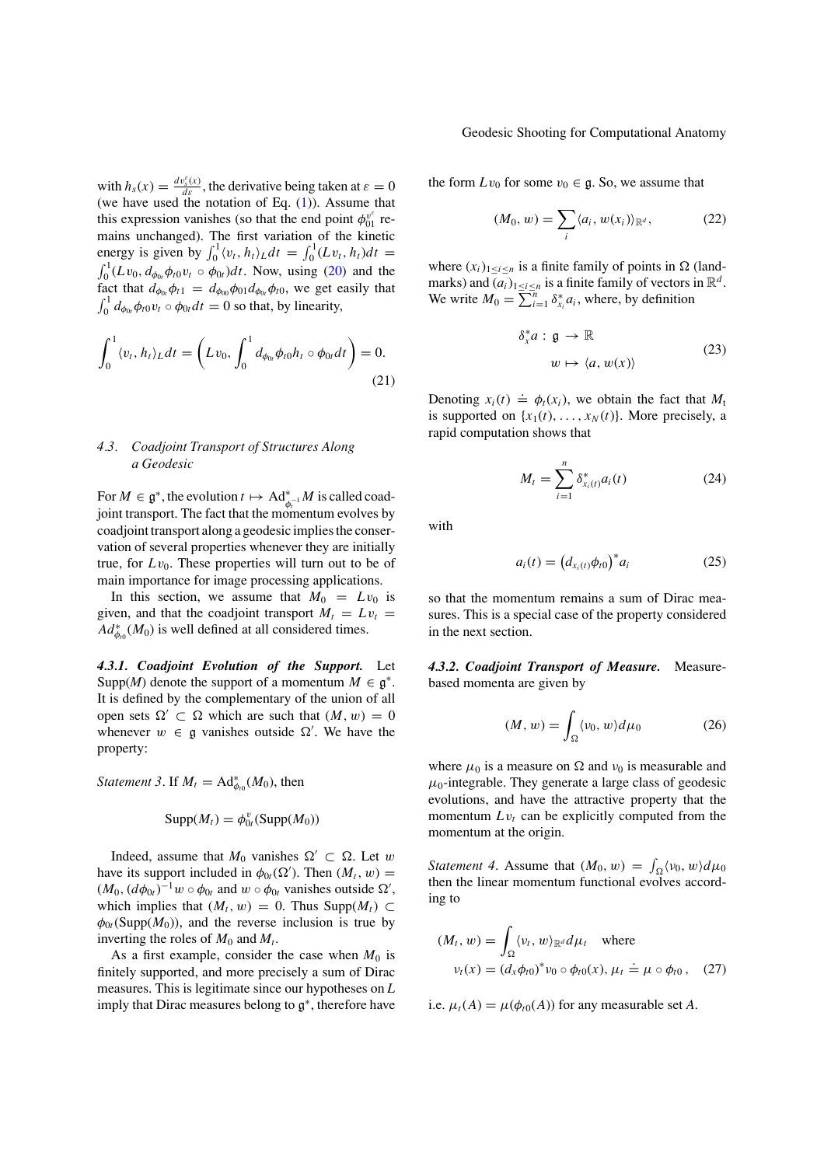with  $h_s(x) = \frac{dv_s^{\varepsilon}(x)}{d\varepsilon}$ , the derivative being taken at  $\varepsilon = 0$ (we have used the notation of Eq.  $(1)$ ). Assume that this expression vanishes (so that the end point  $\phi_{01}^{\nu^e}$  remains unchanged). The first variation of the kinetic energy is given by  $\int_0^1 \langle v_t, h_t \rangle_L dt = \int_0^1 (Lv_t, h_t) dt =$  $\int_0^1 (Lv_0, d_{\phi_0} \phi_{t0} v_t \circ \phi_{0t}) dt$ . Now, using [\(20\)](#page-7-0) and the fact that  $d_{\phi_{0t}}\phi_{t1} = d_{\phi_{00}}\phi_{01}d_{\phi_{0t}}\phi_{t0}$ , we get easily that  $\int_0^1 d_{\phi_{0t}} \phi_{t0} v_t \circ \phi_{0t} dt = 0$  so that, by linearity,

$$
\int_0^1 \langle v_t, h_t \rangle_L dt = \left( L v_0, \int_0^1 d_{\phi_{0t}} \phi_{t0} h_t \circ \phi_{0t} dt \right) = 0.
$$
\n(21)

### *4.3. Coadjoint Transport of Structures Along a Geodesic*

For  $M \in \mathfrak{g}^*$ , the evolution  $t \mapsto \operatorname{Ad}_{\phi_t^{-1}}^* M$  is called coad*t* joint transport. The fact that the momentum evolves by coadjoint transport along a geodesic implies the conservation of several properties whenever they are initially true, for  $Lv_0$ . These properties will turn out to be of main importance for image processing applications.

In this section, we assume that  $M_0 = Lv_0$  is given, and that the coadjoint transport  $M_t = Lv_t$  =  $Ad^*_{\phi_{r0}}(M_0)$  is well defined at all considered times.

*4.3.1. Coadjoint Evolution of the Support.* Let Supp(*M*) denote the support of a momentum  $M \in \mathfrak{g}^*$ . It is defined by the complementary of the union of all open sets  $\Omega' \subset \Omega$  which are such that  $(M, w) = 0$ whenever  $w \in \mathfrak{g}$  vanishes outside  $\Omega'$ . We have the property:

*Statement 3.* If  $M_t = \text{Ad}^*_{\phi_{t0}}(M_0)$ , then

$$
Supp(M_t) = \phi_{0t}^v(Supp(M_0))
$$

Indeed, assume that  $M_0$  vanishes  $\Omega' \subset \Omega$ . Let w have its support included in  $\phi_{0t}(\Omega')$ . Then  $(M_t, w)$  =  $(M_0, (d\phi_{0t})^{-1}w \circ \phi_{0t}$  and  $w \circ \phi_{0t}$  vanishes outside  $\Omega'$ , which implies that  $(M_t, w) = 0$ . Thus Supp $(M_t) \subset$  $\phi_{0t}(\text{Supp}(M_0))$ , and the reverse inclusion is true by inverting the roles of  $M_0$  and  $M_t$ .

As a first example, consider the case when  $M_0$  is finitely supported, and more precisely a sum of Dirac measures. This is legitimate since our hypotheses on *L* imply that Dirac measures belong to  $\mathfrak{g}^*$ , therefore have

#### Geodesic Shooting for Computational Anatomy

the form  $Lv_0$  for some  $v_0 \in \mathfrak{g}$ . So, we assume that

$$
(M_0, w) = \sum_i \langle a_i, w(x_i) \rangle_{\mathbb{R}^d}, \tag{22}
$$

where  $(x_i)_{1 \le i \le n}$  is a finite family of points in  $\Omega$  (landmarks) and  $(a_i)_{1 \le i \le n}$  is a finite family of vectors in  $\mathbb{R}^d$ . We write  $M_0 = \sum_{i=1}^{n} \delta_{x_i}^* a_i$ , where, by definition

$$
\delta_x^* a : \mathfrak{g} \to \mathbb{R}
$$
  

$$
w \mapsto \langle a, w(x) \rangle
$$
 (23)

Denoting  $x_i(t) \doteq \phi_t(x_i)$ , we obtain the fact that  $M_t$ is supported on  $\{x_1(t), \ldots, x_N(t)\}\)$ . More precisely, a rapid computation shows that

<span id="page-8-0"></span>
$$
M_t = \sum_{i=1}^n \delta_{x_i(t)}^* a_i(t) \tag{24}
$$

with

$$
a_i(t) = (d_{x_i(t)}\phi_{t0})^* a_i
$$
 (25)

so that the momentum remains a sum of Dirac measures. This is a special case of the property considered in the next section.

*4.3.2. Coadjoint Transport of Measure.* Measurebased momenta are given by

$$
(M, w) = \int_{\Omega} \langle v_0, w \rangle d\mu_0 \tag{26}
$$

where  $\mu_0$  is a measure on  $\Omega$  and  $\nu_0$  is measurable and  $\mu_0$ -integrable. They generate a large class of geodesic evolutions, and have the attractive property that the momentum  $Lv_t$  can be explicitly computed from the momentum at the origin.

*Statement 4.* Assume that  $(M_0, w) = \int_{\Omega} \langle v_0, w \rangle d\mu_0$ then the linear momentum functional evolves according to

$$
(M_t, w) = \int_{\Omega} \langle v_t, w \rangle_{\mathbb{R}^d} d\mu_t \quad \text{where}
$$
  

$$
v_t(x) = (d_x \phi_{t0})^* v_0 \circ \phi_{t0}(x), \mu_t \doteq \mu \circ \phi_{t0}, \quad (27)
$$

i.e.  $\mu_t(A) = \mu(\phi_{t0}(A))$  for any measurable set *A*.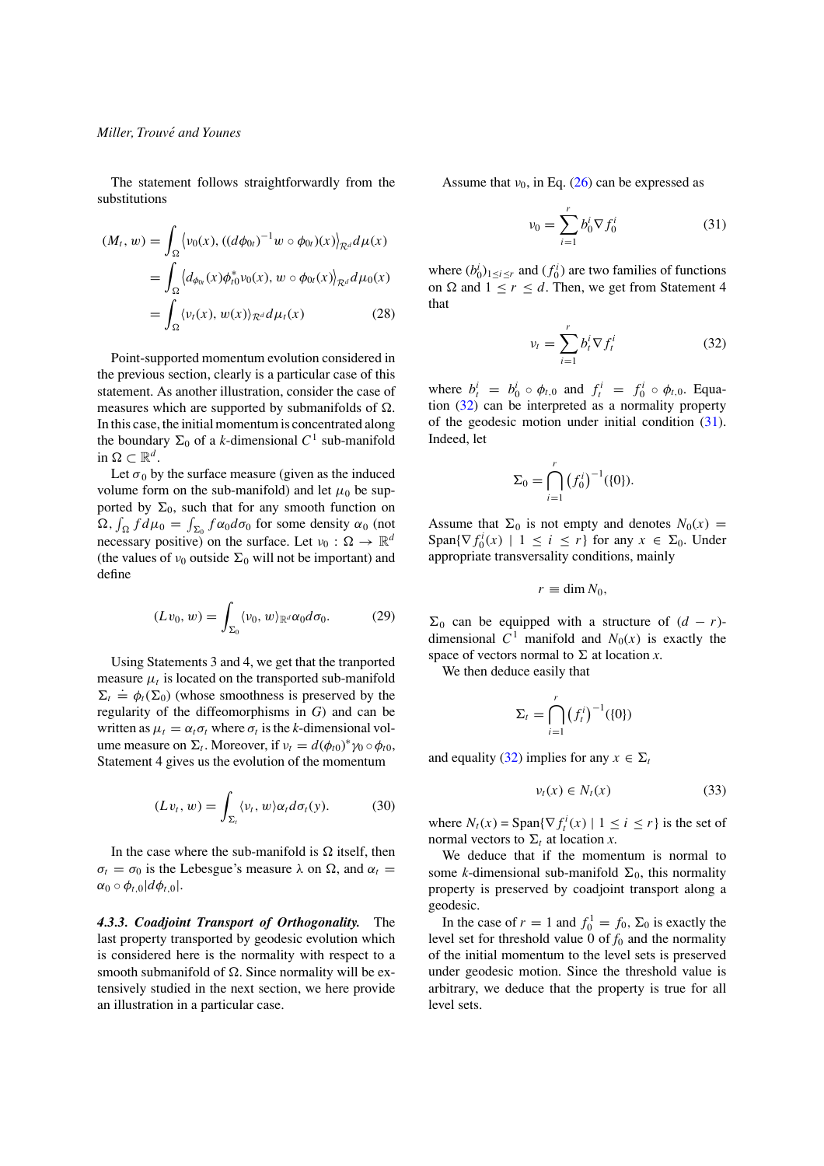The statement follows straightforwardly from the substitutions

$$
(M_t, w) = \int_{\Omega} \langle v_0(x), ((d\phi_{0t})^{-1}w \circ \phi_{0t})(x) \rangle_{\mathcal{R}^d} d\mu(x)
$$
  

$$
= \int_{\Omega} \langle d_{\phi_{0t}}(x) \phi_{t0}^* v_0(x), w \circ \phi_{0t}(x) \rangle_{\mathcal{R}^d} d\mu_0(x)
$$
  

$$
= \int_{\Omega} \langle v_t(x), w(x) \rangle_{\mathcal{R}^d} d\mu_t(x) \qquad (28)
$$

Point-supported momentum evolution considered in the previous section, clearly is a particular case of this statement. As another illustration, consider the case of measures which are supported by submanifolds of  $\Omega$ . In this case, the initial momentum is concentrated along the boundary  $\Sigma_0$  of a *k*-dimensional  $C^1$  sub-manifold in  $\Omega \subset \mathbb{R}^d$ .

Let  $\sigma_0$  by the surface measure (given as the induced volume form on the sub-manifold) and let  $\mu_0$  be supported by  $\Sigma_0$ , such that for any smooth function on  $\Omega$ ,  $\int_{\Omega} f d\mu_0 = \int_{\Sigma_0} f \alpha_0 d\sigma_0$  for some density  $\alpha_0$  (not necessary positive) on the surface. Let  $v_0 : \Omega \to \mathbb{R}^d$ (the values of  $v_0$  outside  $\Sigma_0$  will not be important) and define

$$
(Lv_0, w) = \int_{\Sigma_0} \langle v_0, w \rangle_{\mathbb{R}^d} \alpha_0 d\sigma_0.
$$
 (29)

Using Statements 3 and 4, we get that the tranported measure  $\mu_t$  is located on the transported sub-manifold  $\sum_t \doteq \phi_t(\Sigma_0)$  (whose smoothness is preserved by the regularity of the diffeomorphisms in *G*) and can be written as  $\mu_t = \alpha_t \sigma_t$  where  $\sigma_t$  is the *k*-dimensional volume measure on  $\Sigma_t$ . Moreover, if  $v_t = d(\phi_{t0})^* \gamma_0 \circ \phi_{t0}$ , Statement 4 gives us the evolution of the momentum

$$
(Lv_t, w) = \int_{\Sigma_t} \langle v_t, w \rangle \alpha_t d\sigma_t(y). \tag{30}
$$

In the case where the sub-manifold is  $\Omega$  itself, then  $\sigma_t = \sigma_0$  is the Lebesgue's measure  $\lambda$  on  $\Omega$ , and  $\alpha_t =$  $\alpha_0 \circ \phi_{t,0} | d\phi_{t,0} |$ .

*4.3.3. Coadjoint Transport of Orthogonality.* The last property transported by geodesic evolution which is considered here is the normality with respect to a smooth submanifold of  $\Omega$ . Since normality will be extensively studied in the next section, we here provide an illustration in a particular case.

Assume that  $v_0$ , in Eq. [\(26\)](#page-2-1) can be expressed as

<span id="page-9-1"></span>
$$
\nu_0 = \sum_{i=1}^r b_0^i \nabla f_0^i \tag{31}
$$

where  $(b_0^i)_{1 \le i \le r}$  and  $(f_0^i)$  are two families of functions on  $\Omega$  and  $1 \le r \le d$ . Then, we get from Statement 4 that

$$
v_t = \sum_{i=1}^r b_t^i \nabla f_t^i \tag{32}
$$

where  $b_t^i = b_0^i \circ \phi_{t,0}$  and  $f_t^i = f_0^i \circ \phi_{t,0}$ . Equation [\(32\)](#page-9-0) can be interpreted as a normality property of the geodesic motion under initial condition  $(31)$ . Indeed, let

$$
\Sigma_0 = \bigcap_{i=1}^r (f_0^i)^{-1}(\{0\}).
$$

Assume that  $\Sigma_0$  is not empty and denotes  $N_0(x)$  = Span $\{\nabla f_0^i(x) \mid 1 \leq i \leq r\}$  for any  $x \in \Sigma_0$ . Under appropriate transversality conditions, mainly

$$
r\equiv \dim N_0,
$$

 $\Sigma_0$  can be equipped with a structure of  $(d - r)$ dimensional  $C<sup>1</sup>$  manifold and  $N<sub>0</sub>(x)$  is exactly the space of vectors normal to  $\Sigma$  at location *x*.

We then deduce easily that

$$
\Sigma_t = \bigcap_{i=1}^r \left(f_t^i\right)^{-1}(\{0\})
$$

and equality [\(32\)](#page-9-0) implies for any  $x \in \Sigma_t$ 

<span id="page-9-0"></span>
$$
v_t(x) \in N_t(x) \tag{33}
$$

<span id="page-9-2"></span>where  $N_t(x) = \text{Span}\{\nabla f_t^i(x) \mid 1 \le i \le r\}$  is the set of normal vectors to  $\Sigma_t$  at location *x*.

We deduce that if the momentum is normal to some *k*-dimensional sub-manifold  $\Sigma_0$ , this normality property is preserved by coadjoint transport along a geodesic.

In the case of  $r = 1$  and  $f_0^1 = f_0$ ,  $\Sigma_0$  is exactly the level set for threshold value 0 of  $f_0$  and the normality of the initial momentum to the level sets is preserved under geodesic motion. Since the threshold value is arbitrary, we deduce that the property is true for all level sets.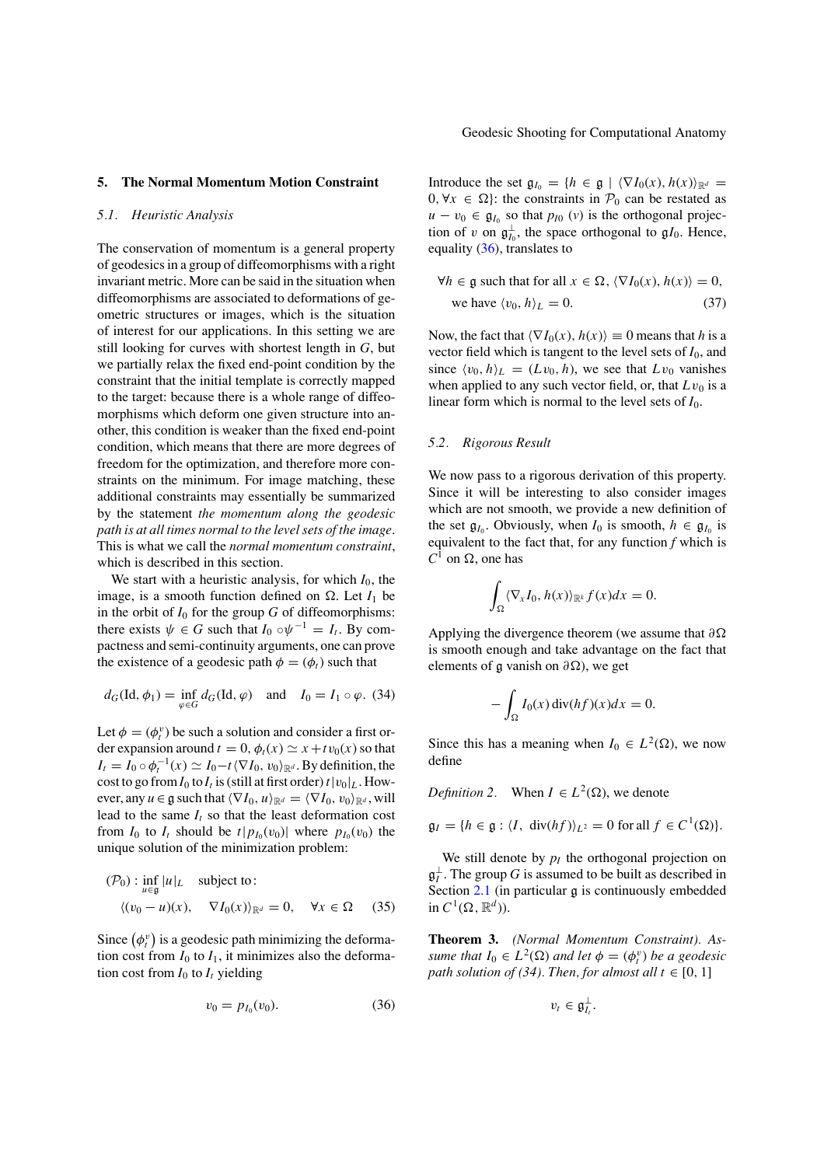### **5. The Normal Momentum Motion Constraint**

#### *5.1. Heuristic Analysis*

The conservation of momentum is a general property of geodesics in a group of diffeomorphisms with a right invariant metric. More can be said in the situation when diffeomorphisms are associated to deformations of geometric structures or images, which is the situation of interest for our applications. In this setting we are still looking for curves with shortest length in *G*, but we partially relax the fixed end-point condition by the constraint that the initial template is correctly mapped to the target: because there is a whole range of diffeomorphisms which deform one given structure into another, this condition is weaker than the fixed end-point condition, which means that there are more degrees of freedom for the optimization, and therefore more constraints on the minimum. For image matching, these additional constraints may essentially be summarized by the statement *the momentum along the geodesic path is at all times normal to the level sets of the image*. This is what we call the *normal momentum constraint*, which is described in this section.

We start with a heuristic analysis, for which  $I_0$ , the image, is a smooth function defined on  $\Omega$ . Let  $I_1$  be in the orbit of  $I_0$  for the group  $G$  of diffeomorphisms: there exists  $\psi \in G$  such that  $I_0 \circ \psi^{-1} = I_t$ . By compactness and semi-continuity arguments, one can prove the existence of a geodesic path  $\phi = (\phi_t)$  such that

$$
d_G(\text{Id}, \phi_1) = \inf_{\varphi \in G} d_G(\text{Id}, \varphi) \quad \text{and} \quad I_0 = I_1 \circ \varphi. \tag{34}
$$

Let  $\phi = (\phi_t^v)$  be such a solution and consider a first order expansion around  $t = 0$ ,  $\phi_t(x) \simeq x + tv_0(x)$  so that  $I_t = I_0 \circ \phi_t^{-1}(x) \simeq I_0 - t \langle \nabla I_0, v_0 \rangle_{\mathbb{R}^d}$ . By definition, the cost to go from  $I_0$  to  $I_t$  is (still at first order)  $t|v_0|_L$ . However, any  $u \in \mathfrak{g}$  such that  $\langle \nabla I_0, u \rangle_{\mathbb{R}^d} = \langle \nabla I_0, v_0 \rangle_{\mathbb{R}^d}$ , will lead to the same  $I_t$  so that the least deformation cost from  $I_0$  to  $I_t$  should be  $t|p_{I_0}(v_0)|$  where  $p_{I_0}(v_0)$  the unique solution of the minimization problem:

$$
(\mathcal{P}_0): \inf_{u \in \mathfrak{g}} |u|_L \quad \text{subject to:}
$$

$$
\langle (v_0 - u)(x), \quad \nabla I_0(x) \rangle_{\mathbb{R}^d} = 0, \quad \forall x \in \Omega \quad (35)
$$

Since  $(\phi_t^v)$  is a geodesic path minimizing the deformation cost from  $I_0$  to  $I_1$ , it minimizes also the deformation cost from  $I_0$  to  $I_t$  yielding

<span id="page-10-0"></span>
$$
v_0 = p_{I_0}(v_0). \tag{36}
$$

Introduce the set  $\mathfrak{g}_{I_0} = \{h \in \mathfrak{g} \mid \langle \nabla I_0(x), h(x) \rangle_{\mathbb{R}^d} =$  $0, ∀<sub>x</sub> ∈ Ω$ : the constraints in  $P_0$  can be restated as  $u - v_0 \in \mathfrak{g}_{I_0}$  so that  $p_{I0}$  (*v*) is the orthogonal projection of v on  $\mathfrak{g}_{I_0}^{\perp}$ , the space orthogonal to  $\mathfrak{g}_{I_0}$ . Hence, equality  $(36)$ , translates to

$$
\forall h \in \mathfrak{g} \text{ such that for all } x \in \Omega, \langle \nabla I_0(x), h(x) \rangle = 0,
$$
  
we have  $\langle v_0, h \rangle_L = 0.$  (37)

Now, the fact that  $\langle \nabla I_0(x), h(x) \rangle \equiv 0$  means that *h* is a vector field which is tangent to the level sets of  $I_0$ , and since  $\langle v_0, h \rangle_L = (Lv_0, h)$ , we see that  $Lv_0$  vanishes when applied to any such vector field, or, that  $Lv_0$  is a linear form which is normal to the level sets of  $I_0$ .

#### *5.2. Rigorous Result*

We now pass to a rigorous derivation of this property. Since it will be interesting to also consider images which are not smooth, we provide a new definition of the set  $\mathfrak{g}_{I_0}$ . Obviously, when  $I_0$  is smooth,  $h \in \mathfrak{g}_{I_0}$  is equivalent to the fact that, for any function *f* which is  $C^1$  on  $\Omega$ , one has

$$
\int_{\Omega} \langle \nabla_{x} I_0, h(x) \rangle_{\mathbb{R}^k} f(x) dx = 0.
$$

Applying the divergence theorem (we assume that  $\partial \Omega$ is smooth enough and take advantage on the fact that elements of  $\mathfrak g$  vanish on  $\partial \Omega$ ), we get

$$
-\int_{\Omega} I_0(x) \operatorname{div}(hf)(x) dx = 0.
$$

Since this has a meaning when  $I_0 \in L^2(\Omega)$ , we now define

*Definition 2.* When  $I \in L^2(\Omega)$ , we denote

$$
\mathfrak{g}_I = \{ h \in \mathfrak{g} : \langle I, \operatorname{div}(hf) \rangle_{L^2} = 0 \text{ for all } f \in C^1(\Omega) \}.
$$

We still denote by  $p_I$  the orthogonal projection on  $\mathfrak{g}_I^{\perp}$ . The group *G* is assumed to be built as described in Section [2.1](#page-2-2) (in particular g is continuously embedded in  $C^1(\Omega, \mathbb{R}^d)$ ).

**Theorem 3.** *(Normal Momentum Constraint). Assume that*  $I_0 \in L^2(\Omega)$  *and let*  $\phi = (\phi_t^v)$  *be a geodesic path solution of (34). Then, for almost all t*  $\in$  [0, 1]

$$
v_t \in \mathfrak{g}_{I_t}^{\perp}.
$$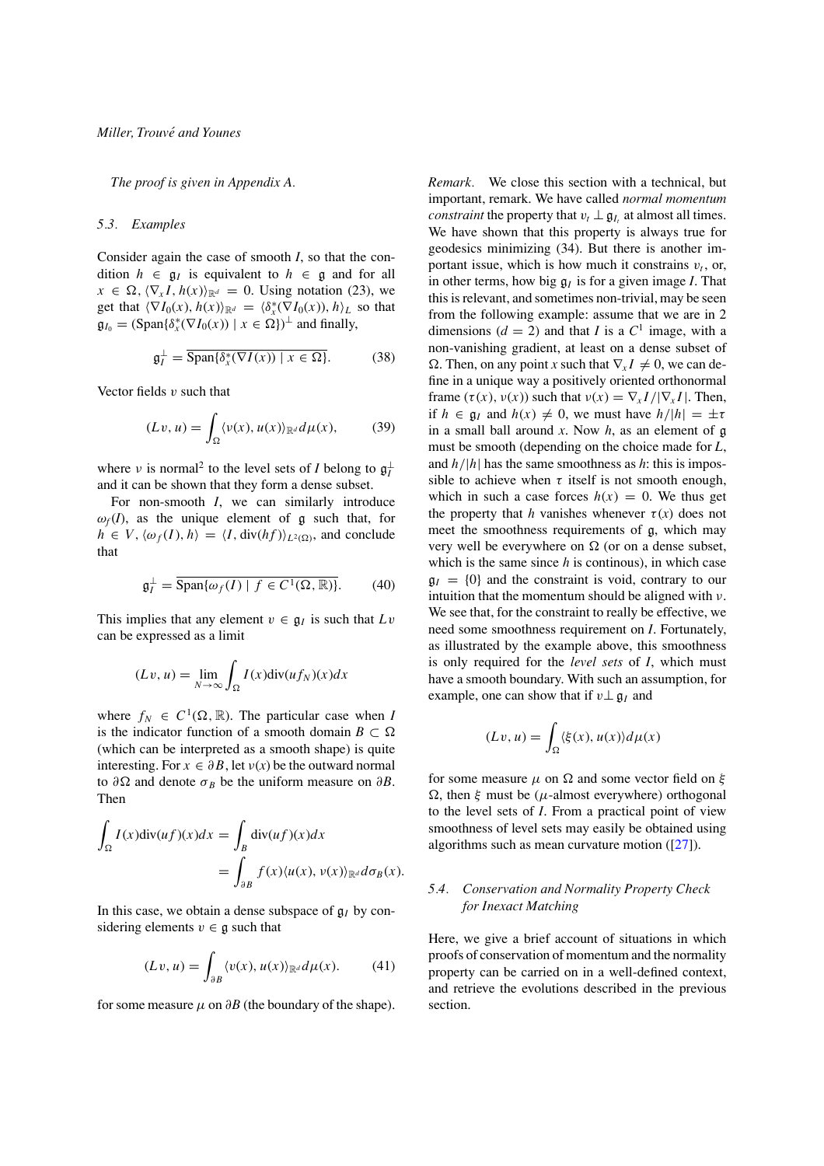*The proof is given in Appendix A.*

### *5.3. Examples*

Consider again the case of smooth *I*, so that the condition  $h \in \mathfrak{g}_I$  is equivalent to  $h \in \mathfrak{g}$  and for all  $x \in \Omega$ ,  $\langle \nabla_x I, h(x) \rangle_{\mathbb{R}^d} = 0$ . Using notation (23), we get that  $\langle \nabla I_0(x), h(x) \rangle_{\mathbb{R}^d} = \langle \delta_x^*(\nabla I_0(x)), h \rangle_L$  so that  $\mathfrak{g}_{I_0} = (\text{Span}\{\delta_x^*(\nabla I_0(x)) \mid x \in \Omega\})^{\perp}$  and finally,

$$
\mathfrak{g}_I^{\perp} = \overline{\text{Span}\{\delta_x^*(\nabla I(x)) \mid x \in \Omega\}}.\tag{38}
$$

Vector fields  $v$  such that

$$
(Lv, u) = \int_{\Omega} \langle v(x), u(x) \rangle_{\mathbb{R}^d} d\mu(x), \tag{39}
$$

where  $\nu$  is normal<sup>2</sup> to the level sets of *I* belong to  $\mathfrak{g}_I^{\perp}$ and it can be shown that they form a dense subset.

For non-smooth *I*, we can similarly introduce  $\omega_f(I)$ , as the unique element of g such that, for  $h \in V$ ,  $\langle \omega_f(I), h \rangle = \langle I, \text{div}(hf) \rangle_{L^2(\Omega)}$ , and conclude that

$$
\mathfrak{g}_I^{\perp} = \overline{\text{Span}\{\omega_f(I) \mid f \in C^1(\Omega, \mathbb{R})\}}.
$$
 (40)

This implies that any element  $v \in \mathfrak{g}_I$  is such that  $Lv$ can be expressed as a limit

$$
(Lv, u) = \lim_{N \to \infty} \int_{\Omega} I(x) \text{div}(uf_N)(x) dx
$$

where  $f_N \in C^1(\Omega, \mathbb{R})$ . The particular case when *I* is the indicator function of a smooth domain  $B \subset \Omega$ (which can be interpreted as a smooth shape) is quite interesting. For  $x \in \partial B$ , let  $v(x)$  be the outward normal to  $\partial \Omega$  and denote  $\sigma_B$  be the uniform measure on  $\partial B$ . Then

$$
\int_{\Omega} I(x) \operatorname{div}(uf)(x) dx = \int_{B} \operatorname{div}(uf)(x) dx
$$

$$
= \int_{\partial B} f(x) \langle u(x), v(x) \rangle_{\mathbb{R}^d} d\sigma_B(x).
$$

In this case, we obtain a dense subspace of g*<sup>I</sup>* by considering elements  $v \in \mathfrak{g}$  such that

$$
(Lv, u) = \int_{\partial B} \langle v(x), u(x) \rangle_{\mathbb{R}^d} d\mu(x). \tag{41}
$$

for some measure  $\mu$  on  $\partial B$  (the boundary of the shape).

*Remark.* We close this section with a technical, but important, remark. We have called *normal momentum constraint* the property that  $v_t \perp \mathfrak{g}_{I_t}$  at almost all times. We have shown that this property is always true for geodesics minimizing (34). But there is another important issue, which is how much it constrains  $v_t$ , or, in other terms, how big  $g_l$  is for a given image *I*. That this is relevant, and sometimes non-trivial, may be seen from the following example: assume that we are in 2 dimensions  $(d = 2)$  and that *I* is a  $C<sup>1</sup>$  image, with a non-vanishing gradient, at least on a dense subset of Ω. Then, on any point *x* such that  $∇<sub>x</sub>I ≠ 0$ , we can define in a unique way a positively oriented orthonormal frame  $(\tau(x), \nu(x))$  such that  $\nu(x) = \nabla_x I / |\nabla_x I|$ . Then, if  $h \in \mathfrak{g}_I$  and  $h(x) \neq 0$ , we must have  $h/|h| = \pm \tau$ in a small ball around *x*. Now *h*, as an element of g must be smooth (depending on the choice made for *L*, and  $h/|h|$  has the same smoothness as  $h$ : this is impossible to achieve when  $\tau$  itself is not smooth enough, which in such a case forces  $h(x) = 0$ . We thus get the property that *h* vanishes whenever  $\tau(x)$  does not meet the smoothness requirements of g, which may very well be everywhere on  $\Omega$  (or on a dense subset, which is the same since *h* is continous), in which case  $g_I = \{0\}$  and the constraint is void, contrary to our intuition that the momentum should be aligned with  $\nu$ . We see that, for the constraint to really be effective, we need some smoothness requirement on *I*. Fortunately, as illustrated by the example above, this smoothness is only required for the *level sets* of *I*, which must have a smooth boundary. With such an assumption, for example, one can show that if  $v \perp \mathfrak{g}_I$  and

$$
(Lv, u) = \int_{\Omega} \langle \xi(x), u(x) \rangle d\mu(x)
$$

for some measure  $\mu$  on  $\Omega$  and some vector field on  $\xi$  $\Omega$ , then  $\xi$  must be ( $\mu$ -almost everywhere) orthogonal to the level sets of *I*. From a practical point of view smoothness of level sets may easily be obtained using algorithms such as mean curvature motion  $([27])$  $([27])$  $([27])$ .

# *5.4. Conservation and Normality Property Check for Inexact Matching*

Here, we give a brief account of situations in which proofs of conservation of momentum and the normality property can be carried on in a well-defined context, and retrieve the evolutions described in the previous section.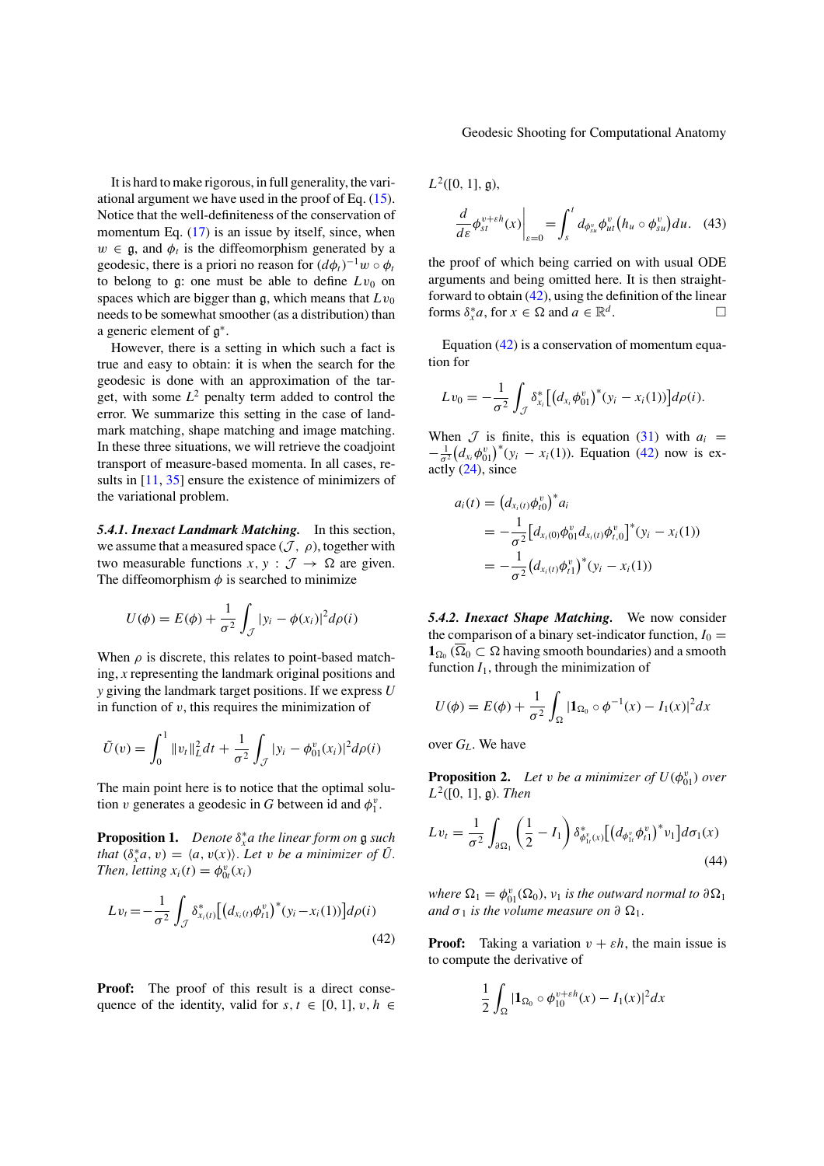It is hard to make rigorous, in full generality, the variational argument we have used in the proof of Eq. [\(15\)](#page-6-0). Notice that the well-definiteness of the conservation of momentum Eq.  $(17)$  is an issue by itself, since, when  $w \in \mathfrak{g}$ , and  $\phi_t$  is the diffeomorphism generated by a geodesic, there is a priori no reason for  $(d\phi_t)^{-1}w \circ \phi_t$ to belong to g: one must be able to define  $Lv_0$  on spaces which are bigger than g, which means that  $Lv_0$ needs to be somewhat smoother (as a distribution) than a generic element of g<sup>∗</sup>.

However, there is a setting in which such a fact is true and easy to obtain: it is when the search for the geodesic is done with an approximation of the target, with some  $L^2$  penalty term added to control the error. We summarize this setting in the case of landmark matching, shape matching and image matching. In these three situations, we will retrieve the coadjoint transport of measure-based momenta. In all cases, re-sults in [\[11,](#page-19-2) [35\]](#page-19-29) ensure the existence of minimizers of the variational problem.

*5.4.1. Inexact Landmark Matching.* In this section, we assume that a measured space  $(\mathcal{J}, \rho)$ , together with two measurable functions  $x, y : \mathcal{J} \to \Omega$  are given. The diffeomorphism  $\phi$  is searched to minimize

$$
U(\phi) = E(\phi) + \frac{1}{\sigma^2} \int_{\mathcal{J}} |y_i - \phi(x_i)|^2 d\rho(i)
$$

When  $\rho$  is discrete, this relates to point-based matching, *x* representing the landmark original positions and *y* giving the landmark target positions. If we express *U* in function of  $v$ , this requires the minimization of

$$
\tilde{U}(v) = \int_0^1 \|v_t\|_L^2 dt + \frac{1}{\sigma^2} \int_{\mathcal{J}} |y_i - \phi_{01}^v(x_i)|^2 d\rho(i)
$$

The main point here is to notice that the optimal solution v generates a geodesic in *G* between id and  $\phi_1^v$ .

**Proposition 1.** *Denote* δ<sup>∗</sup> *xa the linear form on* g *such that*  $(\delta_x^* a, v) = \langle a, v(x) \rangle$ . Let v be a minimizer of  $\tilde{U}$ . *Then, letting*  $x_i(t) = \phi_{0t}^v(x_i)$ 

$$
Lv_t = -\frac{1}{\sigma^2} \int_{\mathcal{J}} \delta_{x_i(t)}^* \big[ \big( d_{x_i(t)} \phi_{t1}^v \big)^* (y_i - x_i(1)) \big] d\rho(i)
$$
\n(42)

**Proof:** The proof of this result is a direct consequence of the identity, valid for  $s, t \in [0, 1], v, h \in$  Geodesic Shooting for Computational Anatomy

$$
L^2([0,1],\mathfrak{g}),
$$

<span id="page-12-1"></span>
$$
\left. \frac{d}{d\varepsilon} \phi_{st}^{v+\varepsilon h}(x) \right|_{\varepsilon=0} = \int_{s}^{t} d_{\phi_{su}^{v}} \phi_{ut}^{v} \left( h_{u} \circ \phi_{su}^{v} \right) du. \quad (43)
$$

the proof of which being carried on with usual ODE arguments and being omitted here. It is then straightforward to obtain [\(42\)](#page-12-0), using the definition of the linear forms  $\delta_x^* a$ , for  $x \in \Omega$  and  $a \in \mathbb{R}^d$ .

Equation [\(42\)](#page-12-0) is a conservation of momentum equation for

$$
Lv_0 = -\frac{1}{\sigma^2} \int_{\mathcal{J}} \delta_{x_i}^* \big[ \big( d_{x_i} \phi_{01}^v \big)^* (y_i - x_i(1)) \big] d\rho(i).
$$

When  $\mathcal J$  is finite, this is equation [\(31\)](#page-9-1) with  $a_i =$  $-\frac{1}{\sigma^2} (d_{x_i} \phi_{01}^v)^*(y_i - x_i(1))$ . Equation [\(42\)](#page-12-0) now is exactly [\(24\)](#page-8-0), since

$$
a_i(t) = (d_{x_i(t)}\phi_{t0}^v)^* a_i
$$
  
=  $-\frac{1}{\sigma^2} [d_{x_i(0)}\phi_{01}^v d_{x_i(t)}\phi_{t,0}^v]^*(y_i - x_i(1))$   
=  $-\frac{1}{\sigma^2} (d_{x_i(t)}\phi_{t1}^v)^*(y_i - x_i(1))$ 

*5.4.2. Inexact Shape Matching.* We now consider the comparison of a binary set-indicator function,  $I_0 =$  $\mathbf{1}_{\Omega_0}$  ( $\Omega_0 \subset \Omega$  having smooth boundaries) and a smooth function  $I_1$ , through the minimization of

$$
U(\phi) = E(\phi) + \frac{1}{\sigma^2} \int_{\Omega} |{\bf 1}_{\Omega_0} \circ \phi^{-1}(x) - I_1(x)|^2 dx
$$

over *GL*. We have

**Proposition 2.** Let v be a minimizer of  $U(\phi_{01}^v)$  over  $L^2([0, 1], \mathfrak{g})$ *. Then* 

$$
Lv_t = \frac{1}{\sigma^2} \int_{\partial \Omega_1} \left(\frac{1}{2} - I_1\right) \delta_{\phi_{1t}^v(x)}^* \left[\left(d_{\phi_{1t}^v} \phi_{t1}^v\right)^* \nu_1\right] d\sigma_1(x) \tag{44}
$$

*where*  $\Omega_1 = \phi_{01}^v(\Omega_0)$ ,  $v_1$  *is the outward normal to*  $\partial \Omega_1$ and  $\sigma_1$  is the volume measure on  $\partial \Omega_1$ .

<span id="page-12-0"></span>**Proof:** Taking a variation  $v + \varepsilon h$ , the main issue is to compute the derivative of

$$
\frac{1}{2}\int_{\Omega}|1\!\!1_{\Omega_0}\circ\phi_{10}^{v+\varepsilon h}(x)-I_1(x)|^2dx
$$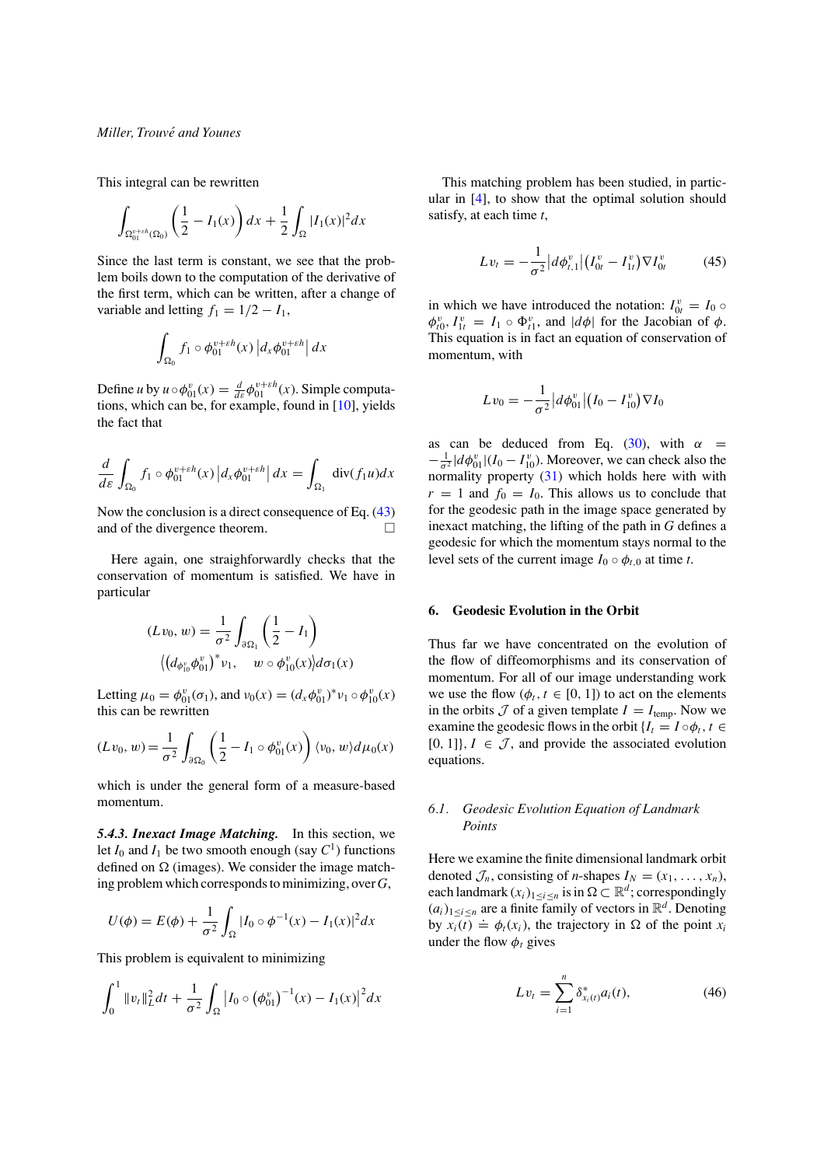This integral can be rewritten

$$
\int_{\Omega_{01}^{v+\varepsilon h}(\Omega_0)} \left(\frac{1}{2} - I_1(x)\right) dx + \frac{1}{2} \int_{\Omega} |I_1(x)|^2 dx
$$

Since the last term is constant, we see that the problem boils down to the computation of the derivative of the first term, which can be written, after a change of variable and letting  $f_1 = 1/2 - I_1$ ,

$$
\int_{\Omega_0} f_1 \circ \phi_{01}^{v+\varepsilon h}(x) \left| d_x \phi_{01}^{v+\varepsilon h} \right| dx
$$

Define *u* by  $u \circ \phi_{01}^v(x) = \frac{d}{dx} \phi_{01}^{v+\varepsilon h}(x)$ . Simple computations, which can be, for example, found in  $[10]$ , yields the fact that

$$
\frac{d}{d\varepsilon} \int_{\Omega_0} f_1 \circ \phi_{01}^{v+\varepsilon h}(x) \left| d_x \phi_{01}^{v+\varepsilon h} \right| dx = \int_{\Omega_1} \text{div}(f_1 u) dx
$$

Now the conclusion is a direct consequence of Eq. [\(43\)](#page-12-1) and of the divergence theorem.

Here again, one straighforwardly checks that the conservation of momentum is satisfied. We have in particular

$$
(Lv_0, w) = \frac{1}{\sigma^2} \int_{\partial \Omega_1} \left(\frac{1}{2} - I_1\right)
$$

$$
\langle \left(d_{\phi_{10}^v} \phi_{01}^v\right)^* v_1, \quad w \circ \phi_{10}^v(x) \rangle d\sigma_1(x)
$$

Letting  $\mu_0 = \phi_{01}^v(\sigma_1)$ , and  $\nu_0(x) = (d_x \phi_{01}^v)^* \nu_1 \circ \phi_{10}^v(x)$ this can be rewritten

$$
(Lv_0, w) = \frac{1}{\sigma^2} \int_{\partial \Omega_0} \left(\frac{1}{2} - I_1 \circ \phi_{01}^v(x)\right) \langle v_0, w \rangle d\mu_0(x)
$$

which is under the general form of a measure-based momentum.

*5.4.3. Inexact Image Matching.* In this section, we let  $I_0$  and  $I_1$  be two smooth enough (say  $C^1$ ) functions defined on  $\Omega$  (images). We consider the image matching problem which corresponds to minimizing, over *G*,

$$
U(\phi) = E(\phi) + \frac{1}{\sigma^2} \int_{\Omega} |I_0 \circ \phi^{-1}(x) - I_1(x)|^2 dx
$$

This problem is equivalent to minimizing

$$
\int_0^1 \|v_t\|_L^2 dt + \frac{1}{\sigma^2} \int_{\Omega} |I_0 \circ (\phi_{01}^v)^{-1}(x) - I_1(x)|^2 dx
$$

This matching problem has been studied, in particular in [\[4\]](#page-18-3), to show that the optimal solution should satisfy, at each time *t*,

$$
Lv_t = -\frac{1}{\sigma^2} \left| d\phi_{t,1}^v \right| \left( I_{0t}^v - I_{1t}^v \right) \nabla I_{0t}^v \tag{45}
$$

in which we have introduced the notation:  $I_{0t}^v = I_0 \circ$  $\phi_{t0}^v$ ,  $I_{1t}^v = I_1 \circ \Phi_{t1}^v$ , and  $|d\phi|$  for the Jacobian of  $\phi$ . This equation is in fact an equation of conservation of momentum, with

$$
Lv_0 = -\frac{1}{\sigma^2} \left| d\phi_{01}^v \right| \left( I_0 - I_{10}^v \right) \nabla I_0
$$

as can be deduced from Eq. [\(30\)](#page-9-2), with  $\alpha$  =  $-\frac{1}{\sigma^2}|d\phi_{01}^v|(I_0 - I_{10}^v)$ . Moreover, we can check also the normality property  $(31)$  which holds here with with  $r = 1$  and  $f_0 = I_0$ . This allows us to conclude that for the geodesic path in the image space generated by inexact matching, the lifting of the path in *G* defines a geodesic for which the momentum stays normal to the level sets of the current image  $I_0 \circ \phi_{t,0}$  at time *t*.

### **6. Geodesic Evolution in the Orbit**

Thus far we have concentrated on the evolution of the flow of diffeomorphisms and its conservation of momentum. For all of our image understanding work we use the flow  $(\phi_t, t \in [0, 1])$  to act on the elements in the orbits  $J$  of a given template  $I = I_{temp}$ . Now we examine the geodesic flows in the orbit  ${I_t = I \circ \phi_t, t \in I}$  $[0, 1]$ ,  $I \in \mathcal{J}$ , and provide the associated evolution equations.

# *6.1. Geodesic Evolution Equation of Landmark Points*

Here we examine the finite dimensional landmark orbit denoted  $\mathcal{J}_n$ , consisting of *n*-shapes  $I_N = (x_1, \ldots, x_n)$ , each landmark  $(x_i)_{1 \leq i \leq n}$  is in  $\Omega \subset \mathbb{R}^d$ ; correspondingly  $(a_i)_{1 \leq i \leq n}$  are a finite family of vectors in  $\mathbb{R}^d$ . Denoting by  $x_i(t) \doteq \phi_t(x_i)$ , the trajectory in  $\Omega$  of the point  $x_i$ under the flow  $\phi_t$  gives

$$
Lv_t = \sum_{i=1}^n \delta_{x_i(t)}^* a_i(t),
$$
\n(46)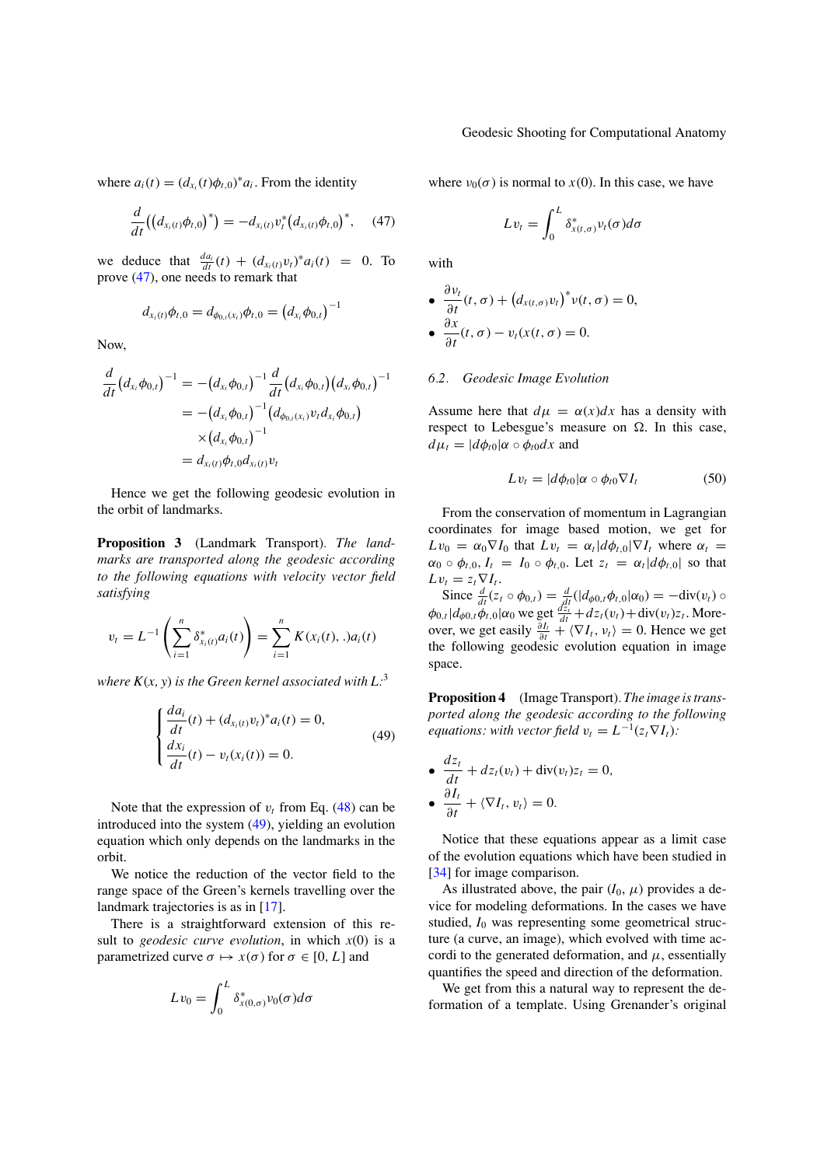### Geodesic Shooting for Computational Anatomy

where  $a_i(t) = (d_{x_i}(t)\phi_{t,0})^* a_i$ . From the identity

$$
\frac{d}{dt}\big(\big(d_{x_i(t)}\phi_{t,0}\big)^*\big)=-d_{x_i(t)}v_i^*\big(d_{x_i(t)}\phi_{t,0}\big)^*,\quad (47)
$$

we deduce that  $\frac{da_i}{dt}(t) + (d_{x_i(t)}v_t)^* a_i(t) = 0$ . To prove [\(47\)](#page-14-0), one needs to remark that

$$
d_{x_i(t)}\phi_{t,0}=d_{\phi_{0,t}(x_i)}\phi_{t,0}=\big(d_{x_i}\phi_{0,t}\big)^{-1}
$$

Now,

$$
\frac{d}{dt} (d_{x_i} \phi_{0,t})^{-1} = -(d_{x_i} \phi_{0,t})^{-1} \frac{d}{dt} (d_{x_i} \phi_{0,t}) (d_{x_i} \phi_{0,t})^{-1} \n= -(d_{x_i} \phi_{0,t})^{-1} (d_{\phi_{0,t}(x_i)} v_t d_{x_i} \phi_{0,t}) \n\times (d_{x_i} \phi_{0,t})^{-1} \n= d_{x_i(t)} \phi_{t,0} d_{x_i(t)} v_t
$$

Hence we get the following geodesic evolution in the orbit of landmarks.

**Proposition 3** (Landmark Transport)*. The landmarks are transported along the geodesic according to the following equations with velocity vector field satisfying*

$$
v_t = L^{-1}\left(\sum_{i=1}^n \delta_{x_i(t)}^* a_i(t)\right) = \sum_{i=1}^n K(x_i(t),.)a_i(t)
$$

*where K*(*x, y*) *is the Green kernel associated with L:*<sup>3</sup>

$$
\begin{cases}\n\frac{da_i}{dt}(t) + (d_{x_i(t)}v_t)^* a_i(t) = 0, \\
\frac{dx_i}{dt}(t) - v_t(x_i(t)) = 0.\n\end{cases}
$$
\n(49)

Note that the expression of  $v_t$  from Eq. [\(48\)](#page-14-1) can be introduced into the system [\(49\)](#page-18-6), yielding an evolution equation which only depends on the landmarks in the orbit.

We notice the reduction of the vector field to the range space of the Green's kernels travelling over the landmark trajectories is as in [\[17\]](#page-19-30).

There is a straightforward extension of this result to *geodesic curve evolution*, in which *x*(0) is a parametrized curve  $\sigma \mapsto x(\sigma)$  for  $\sigma \in [0, L]$  and

$$
Lv_0 = \int_0^L \delta_{x(0,\sigma)}^* v_0(\sigma) d\sigma
$$

where  $v_0(\sigma)$  is normal to  $x(0)$ . In this case, we have

$$
Lv_t = \int_0^L \delta_{x(t,\sigma)}^* v_t(\sigma) d\sigma
$$

<span id="page-14-0"></span>with

• 
$$
\frac{\partial v_t}{\partial t}(t, \sigma) + (d_{x(t, \sigma)}v_t)^* v(t, \sigma) = 0,
$$
  
• 
$$
\frac{\partial x}{\partial t}(t, \sigma) - v_t(x(t, \sigma) = 0.
$$

### *6.2. Geodesic Image Evolution*

Assume here that  $d\mu = \alpha(x)dx$  has a density with respect to Lebesgue's measure on  $\Omega$ . In this case,  $d\mu_t = |d\phi_t| \propto \phi_t \phi \propto d\phi_t$  and

$$
Lv_t = |d\phi_{t0}|\alpha \circ \phi_{t0}\nabla I_t \tag{50}
$$

From the conservation of momentum in Lagrangian coordinates for image based motion, we get for  $Lv_0 = \alpha_0 \nabla I_0$  that  $Lv_t = \alpha_t | d\phi_{t,0} | \nabla I_t$  where  $\alpha_t =$  $\alpha_0 \circ \phi_{t,0}, I_t = I_0 \circ \phi_{t,0}.$  Let  $z_t = \alpha_t |d\phi_{t,0}|$  so that  $Lv_t = z_t \nabla I_t.$ 

Since  $\frac{d}{dt}(z_t \circ \phi_{0,t}) = \frac{d}{dt}(|d_{\phi 0,t} \phi_{t,0}|\alpha_0) = -\text{div}(v_t) \circ$  $\phi_{0,t} | d_{\phi 0,t} \ddot{\phi}_{t,0} | \alpha_0 \text{ we get } \frac{d\ddot{z}_t}{dt} + d z_t(v_t) + \text{div}(v_t) z_t.$  Moreover, we get easily  $\frac{\partial I_t}{\partial t} + \langle \nabla I_t, v_t \rangle = 0$ . Hence we get the following geodesic evolution equation in image space.

<span id="page-14-1"></span>**Proposition 4** (Image Transport)*. The image is transported along the geodesic according to the following equations: with vector field*  $v_t = L^{-1}(z_t \nabla I_t)$ *:* 

• 
$$
\frac{dz_t}{dt} + dz_t(v_t) + \text{div}(v_t)z_t = 0,
$$
  
• 
$$
\frac{\partial I_t}{\partial t} + \langle \nabla I_t, v_t \rangle = 0.
$$

Notice that these equations appear as a limit case of the evolution equations which have been studied in [\[34\]](#page-19-34) for image comparison.

As illustrated above, the pair  $(I_0, \mu)$  provides a device for modeling deformations. In the cases we have studied,  $I_0$  was representing some geometrical structure (a curve, an image), which evolved with time accordi to the generated deformation, and  $\mu$ , essentially quantifies the speed and direction of the deformation.

We get from this a natural way to represent the deformation of a template. Using Grenander's original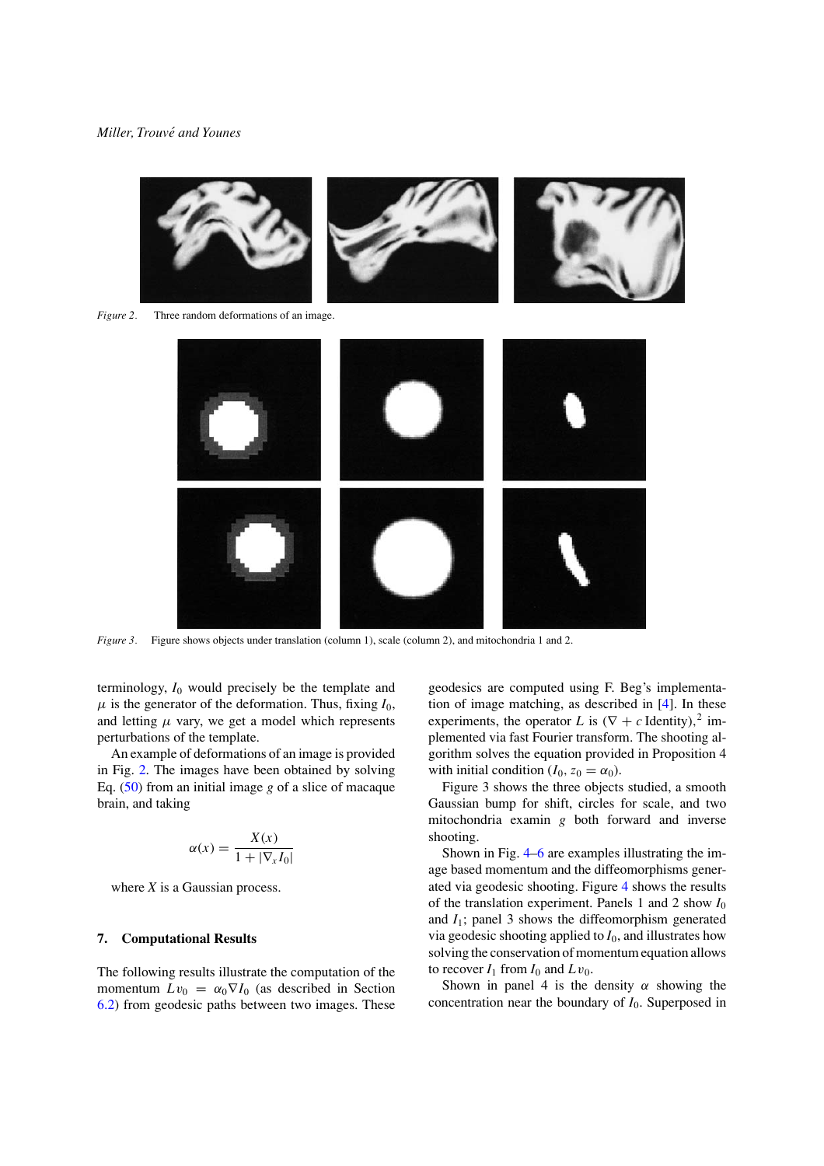<span id="page-15-0"></span>

*Figure 2.* Three random deformations of an image.



*Figure 3.* Figure shows objects under translation (column 1), scale (column 2), and mitochondria 1 and 2.

terminology,  $I_0$  would precisely be the template and  $\mu$  is the generator of the deformation. Thus, fixing  $I_0$ , and letting  $\mu$  vary, we get a model which represents perturbations of the template.

An example of deformations of an image is provided in Fig. [2.](#page-15-0) The images have been obtained by solving Eq. [\(50\)](#page-7-2) from an initial image *g* of a slice of macaque brain, and taking

$$
\alpha(x) = \frac{X(x)}{1 + |\nabla_x I_0|}
$$

where *X* is a Gaussian process.

### **7. Computational Results**

The following results illustrate the computation of the momentum  $Lv_0 = \alpha_0 \nabla I_0$  (as described in Section 6.2) from geodesic paths between two images. These

geodesics are computed using F. Beg's implementation of image matching, as described in [\[4\]](#page-18-3). In these experiments, the operator *L* is  $(\nabla + c \cdot \text{Identity})^2$  implemented via fast Fourier transform. The shooting algorithm solves the equation provided in Proposition 4 with initial condition  $(I_0, z_0 = \alpha_0)$ .

Figure 3 shows the three objects studied, a smooth Gaussian bump for shift, circles for scale, and two mitochondria examin *g* both forward and inverse shooting.

Shown in Fig. [4](#page-16-0)[–6](#page-17-0) are examples illustrating the image based momentum and the diffeomorphisms generated via geodesic shooting. Figure [4](#page-16-0) shows the results of the translation experiment. Panels 1 and 2 show  $I_0$ and *I*1; panel 3 shows the diffeomorphism generated via geodesic shooting applied to  $I_0$ , and illustrates how solving the conservation of momentum equation allows to recover  $I_1$  from  $I_0$  and  $Lv_0$ .

Shown in panel 4 is the density  $\alpha$  showing the concentration near the boundary of *I*0. Superposed in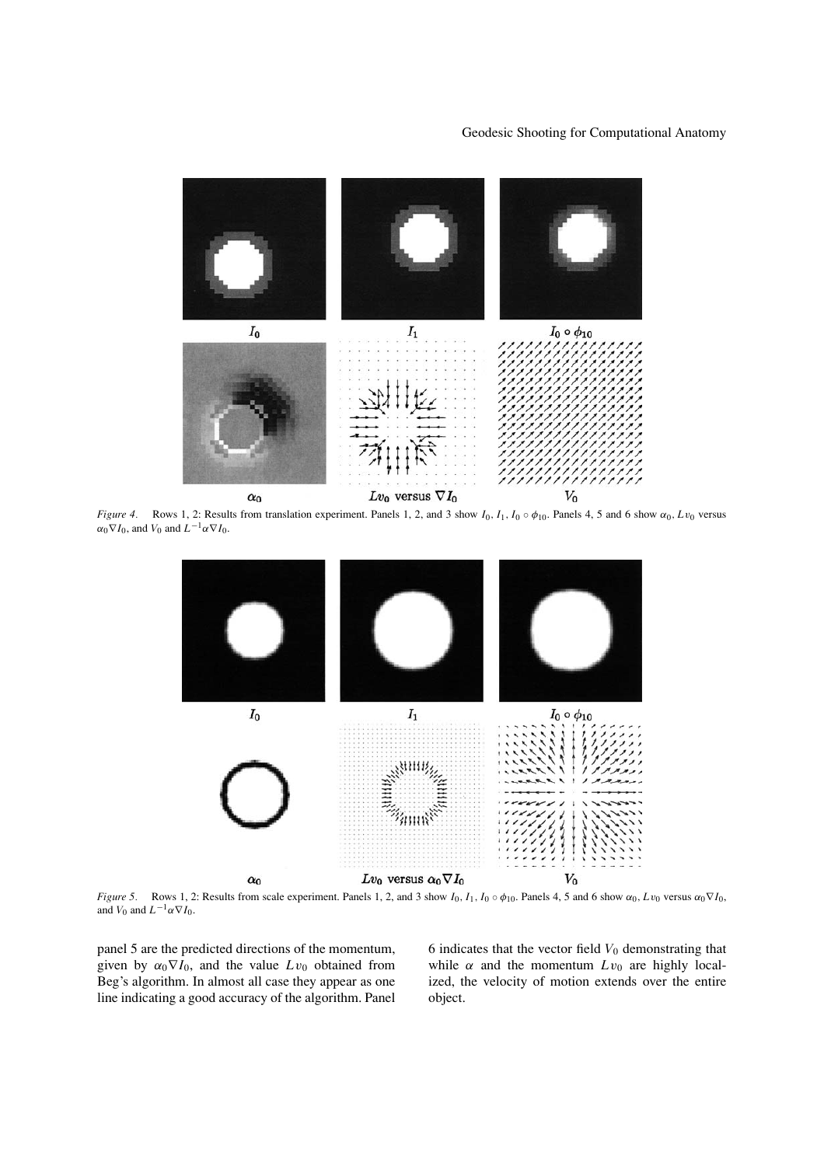<span id="page-16-0"></span>

<span id="page-16-1"></span>*Figure 4.* Rows 1, 2: Results from translation experiment. Panels 1, 2, and 3 show  $I_0$ ,  $I_1$ ,  $I_0 \circ \phi_{10}$ . Panels 4, 5 and 6 show  $\alpha_0$ ,  $Lv_0$  versus  $\alpha_0 \nabla I_0$ , and  $V_0$  and  $L^{-1} \alpha \nabla I_0$ .



*Figure 5.* Rows 1, 2: Results from scale experiment. Panels 1, 2, and 3 show  $I_0$ ,  $I_1$ ,  $I_0 \circ \phi_{10}$ . Panels 4, 5 and 6 show  $\alpha_0$ ,  $L v_0$  versus  $\alpha_0 \nabla I_0$ , and  $V_0$  and  $L^{-1}\alpha \nabla I_0$ .

panel 5 are the predicted directions of the momentum, given by  $\alpha_0 \nabla I_0$ , and the value  $Lv_0$  obtained from Beg's algorithm. In almost all case they appear as one line indicating a good accuracy of the algorithm. Panel 6 indicates that the vector field  $V_0$  demonstrating that while  $\alpha$  and the momentum  $Lv_0$  are highly localized, the velocity of motion extends over the entire object.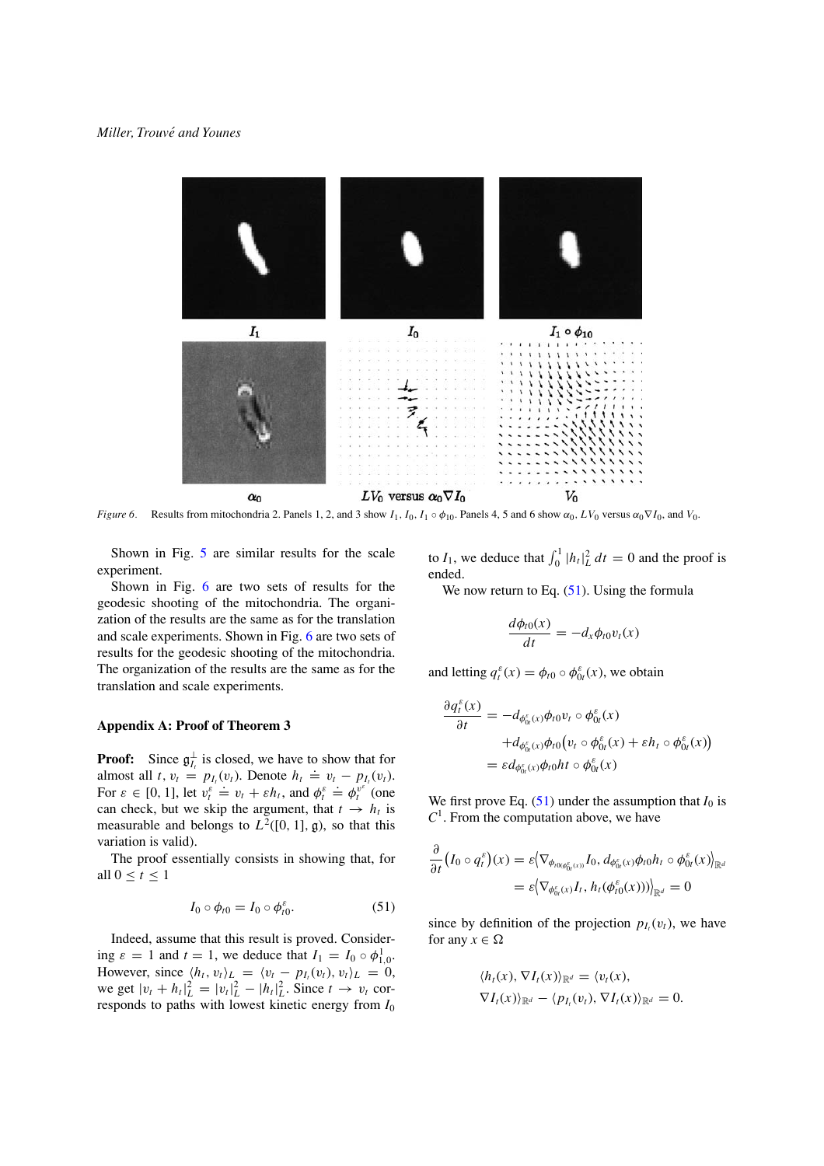<span id="page-17-0"></span>

*Figure 6.* Results from mitochondria 2. Panels 1, 2, and 3 show  $I_1$ ,  $I_0$ ,  $I_1 \circ \phi_{10}$ . Panels 4, 5 and 6 show  $\alpha_0$ ,  $LV_0$  versus  $\alpha_0 \nabla I_0$ , and  $V_0$ .

Shown in Fig. [5](#page-16-1) are similar results for the scale experiment.

Shown in Fig. [6](#page-17-0) are two sets of results for the geodesic shooting of the mitochondria. The organization of the results are the same as for the translation and scale experiments. Shown in Fig. [6](#page-17-0) are two sets of results for the geodesic shooting of the mitochondria. The organization of the results are the same as for the translation and scale experiments.

#### **Appendix A: Proof of Theorem 3**

**Proof:** Since  $g_{I_t}^{\perp}$  is closed, we have to show that for almost all  $t, v_t = p_{I_t}(v_t)$ . Denote  $h_t \doteq v_t - p_{I_t}(v_t)$ . For  $\varepsilon \in [0, 1]$ , let  $v_t^{\varepsilon} = v_t + \varepsilon h_t$ , and  $\phi_t^{\varepsilon} = \phi_t^{v^{\varepsilon}}$  (one can check, but we skip the argument, that  $t \rightarrow h_t$  is measurable and belongs to  $L^2([0, 1], \mathfrak{g})$ , so that this variation is valid).

The proof essentially consists in showing that, for all  $0 \le t \le 1$ 

<span id="page-17-1"></span>
$$
I_0 \circ \phi_{t0} = I_0 \circ \phi_{t0}^{\varepsilon}.
$$
 (51)

Indeed, assume that this result is proved. Considering  $\varepsilon = 1$  and  $t = 1$ , we deduce that  $I_1 = I_0 \circ \phi_{1,0}^1$ . However, since  $\langle h_t, v_t \rangle_L = \langle v_t - p_{I_t}(v_t), v_t \rangle_L = 0$ , we get  $|v_t + h_t|^2_L = |v_t|^2_L - |h_t|^2_L$ . Since  $t \to v_t$  corresponds to paths with lowest kinetic energy from  $I_0$ 

to  $I_1$ , we deduce that  $\int_0^1 |h_t|_L^2 dt = 0$  and the proof is ended.

We now return to Eq.  $(51)$ . Using the formula

$$
\frac{d\phi_{t0}(x)}{dt} = -d_x \phi_{t0} v_t(x)
$$

and letting  $q_t^{\varepsilon}(x) = \phi_{t0} \circ \phi_{0t}^{\varepsilon}(x)$ , we obtain

$$
\frac{\partial q_t^{\varepsilon}(x)}{\partial t} = -d_{\phi_{0t}^{\varepsilon}(x)}\phi_{t0}v_t \circ \phi_{0t}^{\varepsilon}(x) \n+ d_{\phi_{0t}^{\varepsilon}(x)}\phi_{t0}(v_t \circ \phi_{0t}^{\varepsilon}(x) + \varepsilon h_t \circ \phi_{0t}^{\varepsilon}(x)) \n= \varepsilon d_{\phi_{0t}^{\varepsilon}(x)}\phi_{t0}h t \circ \phi_{0t}^{\varepsilon}(x)
$$

We first prove Eq.  $(51)$  under the assumption that  $I_0$  is  $C<sup>1</sup>$ . From the computation above, we have

$$
\frac{\partial}{\partial t}\big(I_0 \circ q_t^{\varepsilon}\big)(x) = \varepsilon \big \langle \nabla_{\phi_{t0(\phi_{0t}^{\varepsilon}(x))}} I_0, d_{\phi_{0t}^{\varepsilon}(x)} \phi_{t0} h_t \circ \phi_{0t}^{\varepsilon}(x) \big)_{\mathbb{R}^d}
$$
\n
$$
= \varepsilon \big \langle \nabla_{\phi_{0t}^{\varepsilon}(x)} I_t, h_t(\phi_{t0}^{\varepsilon}(x)) \big) \big|_{\mathbb{R}^d} = 0
$$

since by definition of the projection  $p_{I_t}(v_t)$ , we have for any  $x \in \Omega$ 

$$
\langle h_t(x), \nabla I_t(x) \rangle_{\mathbb{R}^d} = \langle v_t(x),
$$
  

$$
\nabla I_t(x) \rangle_{\mathbb{R}^d} - \langle p_{I_t}(v_t), \nabla I_t(x) \rangle_{\mathbb{R}^d} = 0.
$$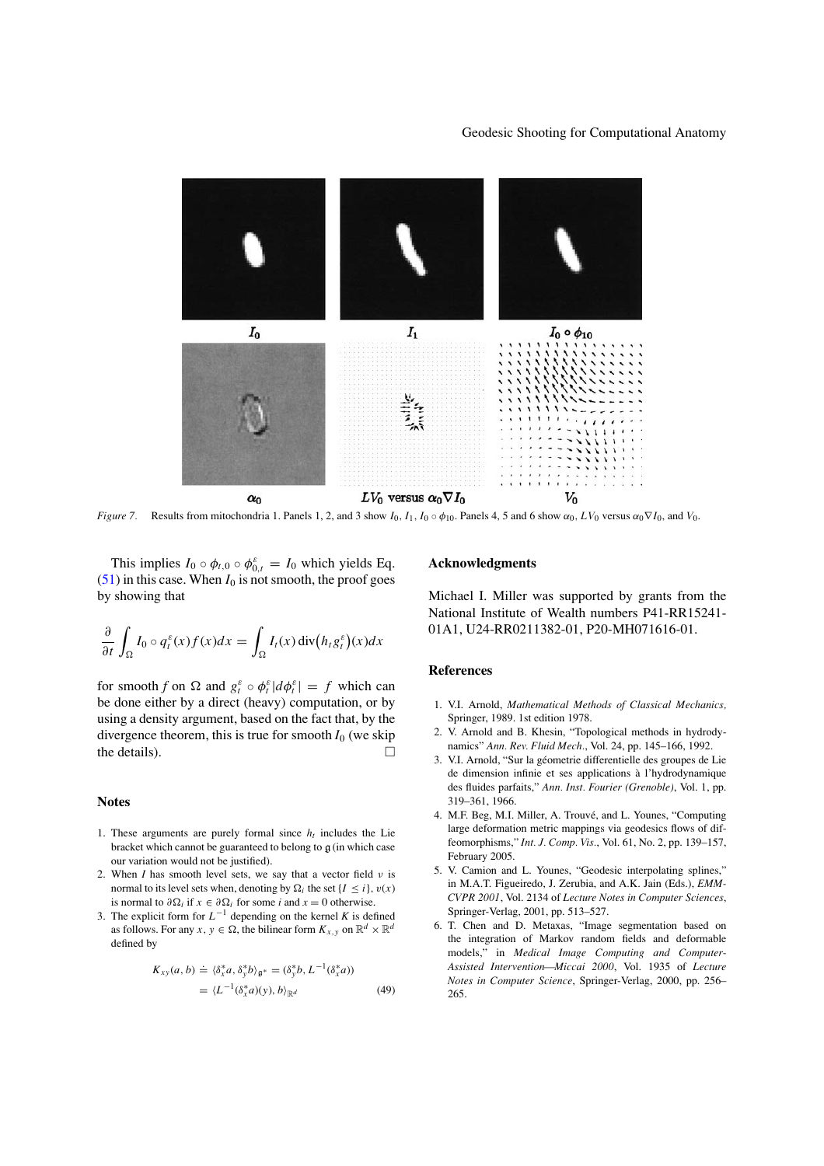

*Figure 7.* Results from mitochondria 1. Panels 1, 2, and 3 show  $I_0$ ,  $I_1$ ,  $I_0 \circ \phi_{10}$ . Panels 4, 5 and 6 show  $\alpha_0$ ,  $LV_0$  versus  $\alpha_0 \nabla I_0$ , and  $V_0$ .

This implies  $I_0 \circ \phi_{t,0} \circ \phi_{0,t}^{\varepsilon} = I_0$  which yields Eq.  $(51)$  in this case. When  $I_0$  is not smooth, the proof goes by showing that

$$
\frac{\partial}{\partial t} \int_{\Omega} I_0 \circ q_t^{\varepsilon}(x) f(x) dx = \int_{\Omega} I_t(x) \operatorname{div} (h_t g_t^{\varepsilon})(x) dx
$$

for smooth *f* on  $\Omega$  and  $g_t^{\varepsilon} \circ \phi_t^{\varepsilon} | d\phi_t^{\varepsilon}| = f$  which can be done either by a direct (heavy) computation, or by using a density argument, based on the fact that, by the divergence theorem, this is true for smooth  $I_0$  (we skip the details).  $\Box$ 

#### **Notes**

- 1. These arguments are purely formal since  $h_t$  includes the Lie bracket which cannot be guaranteed to belong to g(in which case our variation would not be justified).
- 2. When *I* has smooth level sets, we say that a vector field  $\nu$  is normal to its level sets when, denoting by  $\Omega_i$  the set  $\{I \leq i\}$ ,  $v(x)$ *is* normal to  $\partial Ω_i$  if  $x \in \partial Ω_i$  for some *i* and  $x = 0$  otherwise.
- 3. The explicit form for *L*−<sup>1</sup> depending on the kernel *K* is defined as follows. For any *x*,  $y \in \Omega$ , the bilinear form  $K_{x,y}$  on  $\mathbb{R}^d \times \mathbb{R}^d$ defined by

<span id="page-18-6"></span>
$$
K_{xy}(a,b) \doteq \langle \delta_x^* a, \delta_y^* b \rangle_{\mathfrak{g}^*} = (\delta_y^* b, L^{-1}(\delta_x^* a))
$$
  

$$
= \langle L^{-1}(\delta_x^* a)(y), b \rangle_{\mathbb{R}^d}
$$
(49)

### **Acknowledgments**

Michael I. Miller was supported by grants from the National Institute of Wealth numbers P41-RR15241- 01A1, U24-RR0211382-01, P20-MH071616-01.

# **References**

- 1. V.I. Arnold, *Mathematical Methods of Classical Mechanics,* Springer, 1989. 1st edition 1978.
- <span id="page-18-1"></span>2. V. Arnold and B. Khesin, "Topological methods in hydrodynamics" *Ann. Rev. Fluid Mech.*, Vol. 24, pp. 145–166, 1992.
- <span id="page-18-0"></span>3. V.I. Arnold, "Sur la géometrie differentielle des groupes de Lie de dimension infinie et ses applications a l'hydrodynamique ` des fluides parfaits," *Ann. Inst. Fourier (Grenoble)*, Vol. 1, pp. 319–361, 1966.
- <span id="page-18-5"></span>4. M.F. Beg, M.I. Miller, A. Trouvé, and L. Younes, "Computing large deformation metric mappings via geodesics flows of diffeomorphisms," *Int. J. Comp. Vis.*, Vol. 61, No. 2, pp. 139–157, February 2005.
- <span id="page-18-3"></span>5. V. Camion and L. Younes, "Geodesic interpolating splines," in M.A.T. Figueiredo, J. Zerubia, and A.K. Jain (Eds.), *EMM-CVPR 2001*, Vol. 2134 of *Lecture Notes in Computer Sciences*, Springer-Verlag, 2001, pp. 513–527.
- <span id="page-18-4"></span><span id="page-18-2"></span>6. T. Chen and D. Metaxas, "Image segmentation based on the integration of Markov random fields and deformable models," in *Medical Image Computing and Computer-Assisted Intervention—Miccai 2000*, Vol. 1935 of *Lecture Notes in Computer Science*, Springer-Verlag, 2000, pp. 256– 265.